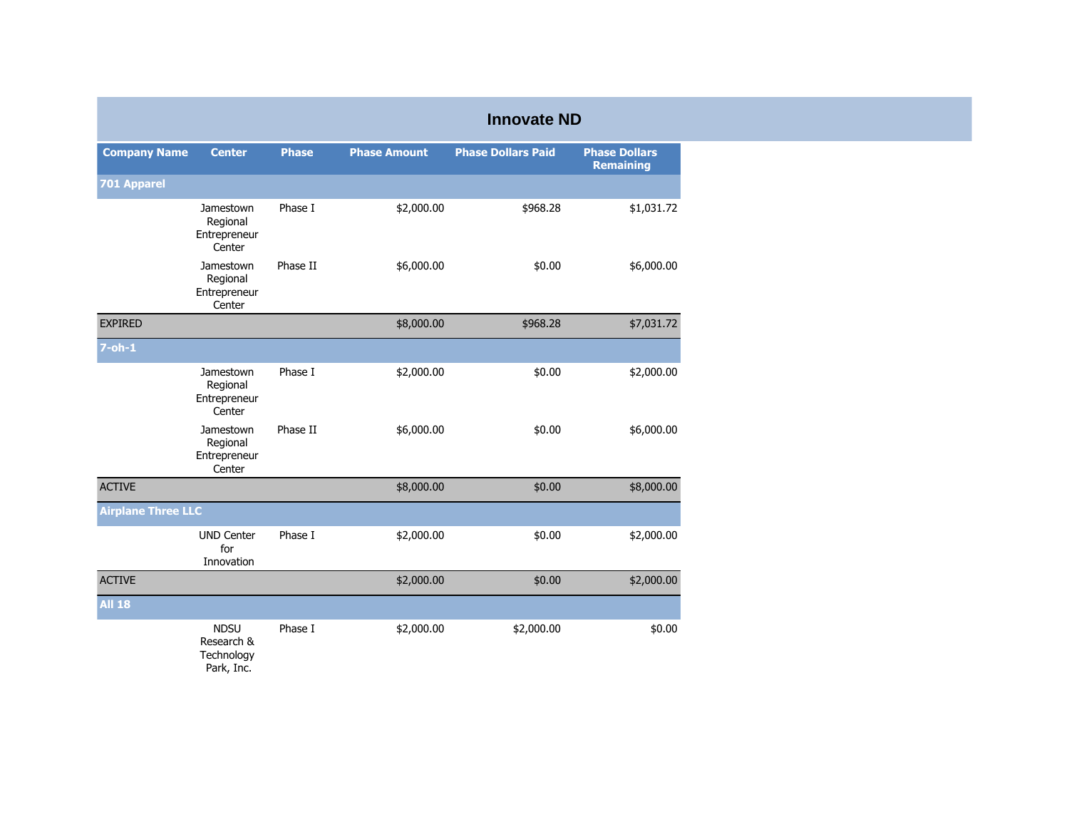|                           |                                                       |              |                     | <b>Innovate ND</b>        |                                          |
|---------------------------|-------------------------------------------------------|--------------|---------------------|---------------------------|------------------------------------------|
| <b>Company Name</b>       | <b>Center</b>                                         | <b>Phase</b> | <b>Phase Amount</b> | <b>Phase Dollars Paid</b> | <b>Phase Dollars</b><br><b>Remaining</b> |
| <b>701 Apparel</b>        |                                                       |              |                     |                           |                                          |
|                           | Jamestown<br>Regional<br>Entrepreneur<br>Center       | Phase I      | \$2,000.00          | \$968.28                  | \$1,031.72                               |
|                           | Jamestown<br>Regional<br>Entrepreneur<br>Center       | Phase II     | \$6,000.00          | \$0.00                    | \$6,000.00                               |
| <b>EXPIRED</b>            |                                                       |              | \$8,000.00          | \$968.28                  | \$7,031.72                               |
| $7$ -oh-1                 |                                                       |              |                     |                           |                                          |
|                           | Jamestown<br>Regional<br>Entrepreneur<br>Center       | Phase I      | \$2,000.00          | \$0.00                    | \$2,000.00                               |
|                           | Jamestown<br>Regional<br>Entrepreneur<br>Center       | Phase II     | \$6,000.00          | \$0.00                    | \$6,000.00                               |
| <b>ACTIVE</b>             |                                                       |              | \$8,000.00          | \$0.00                    | \$8,000.00                               |
| <b>Airplane Three LLC</b> |                                                       |              |                     |                           |                                          |
|                           | <b>UND Center</b><br>for<br>Innovation                | Phase I      | \$2,000.00          | \$0.00                    | \$2,000.00                               |
| <b>ACTIVE</b>             |                                                       |              | \$2,000.00          | \$0.00                    | \$2,000.00                               |
| <b>All 18</b>             |                                                       |              |                     |                           |                                          |
|                           | <b>NDSU</b><br>Research &<br>Technology<br>Park, Inc. | Phase I      | \$2,000.00          | \$2,000.00                | \$0.00                                   |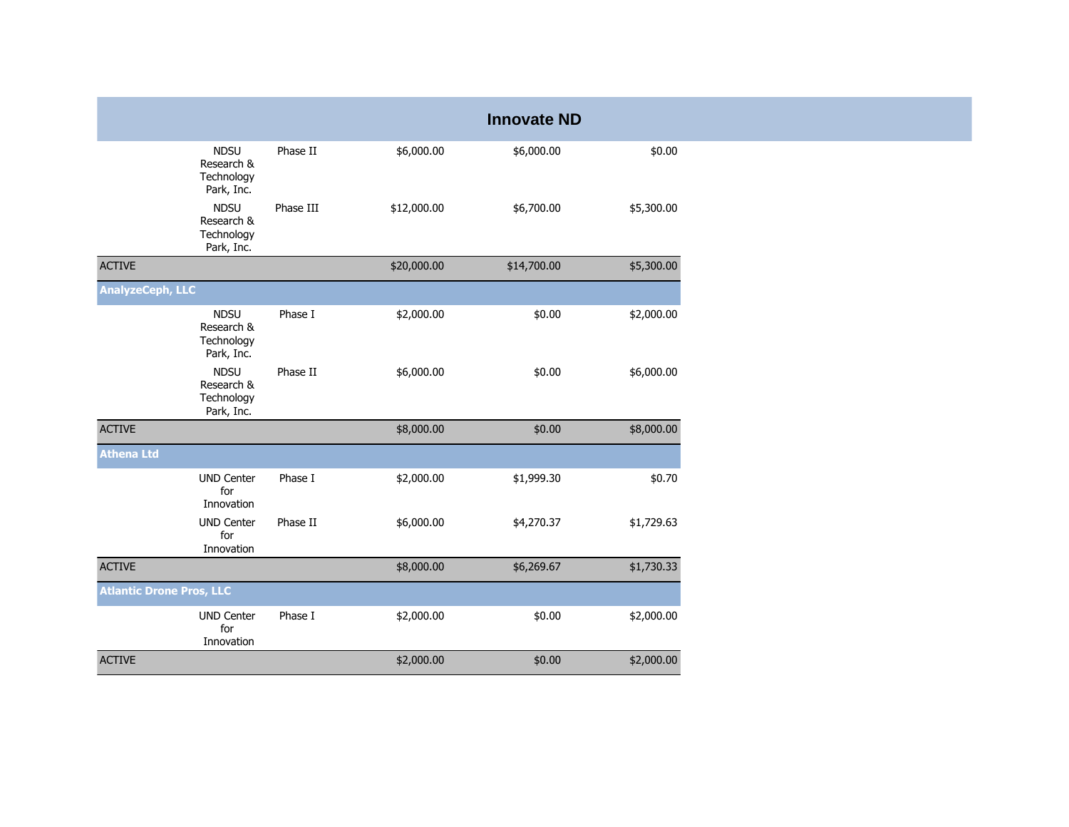| <b>Innovate ND</b>                                                                                            |
|---------------------------------------------------------------------------------------------------------------|
| <b>NDSU</b><br>Phase II<br>\$6,000.00<br>\$6,000.00<br>\$0.00<br>Research &<br>Technology<br>Park, Inc.       |
| <b>NDSU</b><br>Phase III<br>\$12,000.00<br>\$6,700.00<br>\$5,300.00<br>Research &<br>Technology<br>Park, Inc. |
| <b>ACTIVE</b><br>\$5,300.00<br>\$20,000.00<br>\$14,700.00                                                     |
| <b>AnalyzeCeph, LLC</b>                                                                                       |
| <b>NDSU</b><br>Phase I<br>\$2,000.00<br>\$0.00<br>\$2,000.00<br>Research &<br>Technology<br>Park, Inc.        |
| <b>NDSU</b><br>Phase II<br>\$6,000.00<br>\$6,000.00<br>\$0.00<br>Research &<br>Technology<br>Park, Inc.       |
| <b>ACTIVE</b><br>\$8,000.00<br>\$8,000.00<br>\$0.00                                                           |
| <b>Athena Ltd</b>                                                                                             |
| <b>UND Center</b><br>Phase I<br>\$2,000.00<br>\$1,999.30<br>\$0.70<br>for<br>Innovation                       |
| Phase II<br><b>UND Center</b><br>\$6,000.00<br>\$4,270.37<br>\$1,729.63<br>for<br>Innovation                  |
| <b>ACTIVE</b><br>\$1,730.33<br>\$8,000.00<br>\$6,269.67                                                       |
| <b>Atlantic Drone Pros, LLC</b>                                                                               |
| <b>UND Center</b><br>Phase I<br>\$2,000.00<br>\$0.00<br>\$2,000.00                                            |
| for<br>Innovation                                                                                             |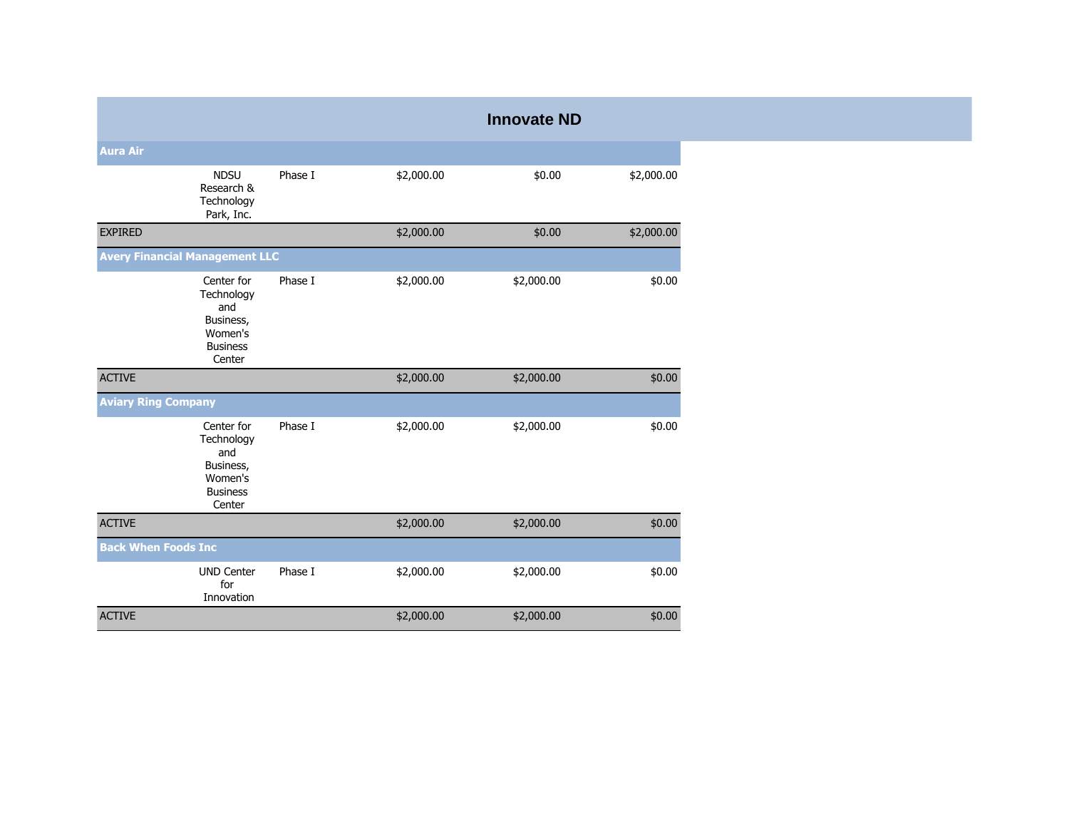|                            |                                                                                      |         |            | <b>Innovate ND</b> |            |
|----------------------------|--------------------------------------------------------------------------------------|---------|------------|--------------------|------------|
| <b>Aura Air</b>            |                                                                                      |         |            |                    |            |
|                            | <b>NDSU</b><br>Research &<br>Technology<br>Park, Inc.                                | Phase I | \$2,000.00 | \$0.00             | \$2,000.00 |
| <b>EXPIRED</b>             |                                                                                      |         | \$2,000.00 | \$0.00             | \$2,000.00 |
|                            | <b>Avery Financial Management LLC</b>                                                |         |            |                    |            |
|                            | Center for<br>Technology<br>and<br>Business,<br>Women's<br><b>Business</b><br>Center | Phase I | \$2,000.00 | \$2,000.00         | \$0.00     |
| <b>ACTIVE</b>              |                                                                                      |         | \$2,000.00 | \$2,000.00         | \$0.00     |
| <b>Aviary Ring Company</b> |                                                                                      |         |            |                    |            |
|                            | Center for<br>Technology<br>and<br>Business,<br>Women's<br><b>Business</b><br>Center | Phase I | \$2,000.00 | \$2,000.00         | \$0.00     |
| <b>ACTIVE</b>              |                                                                                      |         | \$2,000.00 | \$2,000.00         | \$0.00     |
| <b>Back When Foods Inc</b> |                                                                                      |         |            |                    |            |
|                            | <b>UND Center</b><br>for<br>Innovation                                               | Phase I | \$2,000.00 | \$2,000.00         | \$0.00     |
| <b>ACTIVE</b>              |                                                                                      |         | \$2,000.00 | \$2,000.00         | \$0.00     |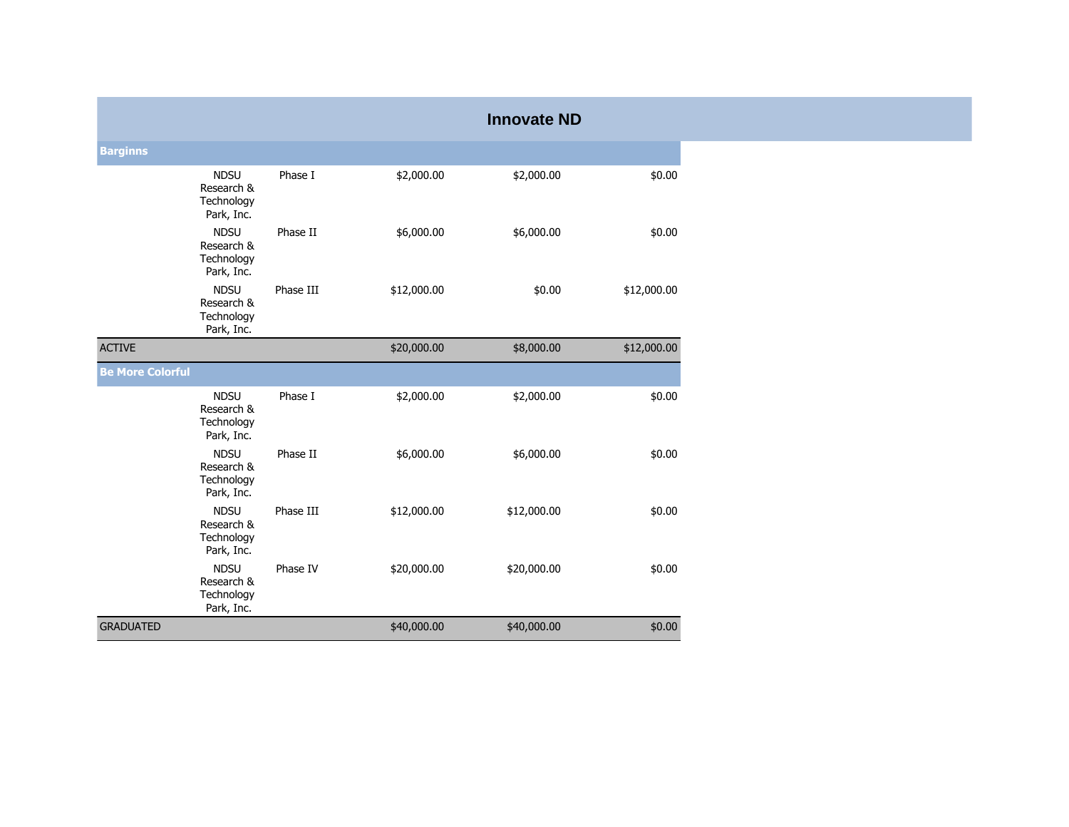|                         |                                                       |           |             | <b>Innovate ND</b> |             |
|-------------------------|-------------------------------------------------------|-----------|-------------|--------------------|-------------|
| <b>Barginns</b>         |                                                       |           |             |                    |             |
|                         | <b>NDSU</b><br>Research &<br>Technology<br>Park, Inc. | Phase I   | \$2,000.00  | \$2,000.00         | \$0.00      |
|                         | <b>NDSU</b><br>Research &<br>Technology<br>Park, Inc. | Phase II  | \$6,000.00  | \$6,000.00         | \$0.00      |
|                         | <b>NDSU</b><br>Research &<br>Technology<br>Park, Inc. | Phase III | \$12,000.00 | \$0.00             | \$12,000.00 |
| <b>ACTIVE</b>           |                                                       |           | \$20,000.00 | \$8,000.00         | \$12,000.00 |
| <b>Be More Colorful</b> |                                                       |           |             |                    |             |
|                         | <b>NDSU</b><br>Research &<br>Technology<br>Park, Inc. | Phase I   | \$2,000.00  | \$2,000.00         | \$0.00      |
|                         | <b>NDSU</b><br>Research &<br>Technology<br>Park, Inc. | Phase II  | \$6,000.00  | \$6,000.00         | \$0.00      |
|                         | <b>NDSU</b><br>Research &<br>Technology<br>Park, Inc. | Phase III | \$12,000.00 | \$12,000.00        | \$0.00      |
|                         | <b>NDSU</b><br>Research &<br>Technology<br>Park, Inc. | Phase IV  | \$20,000.00 | \$20,000.00        | \$0.00      |
| <b>GRADUATED</b>        |                                                       |           | \$40,000.00 | \$40,000.00        | \$0.00      |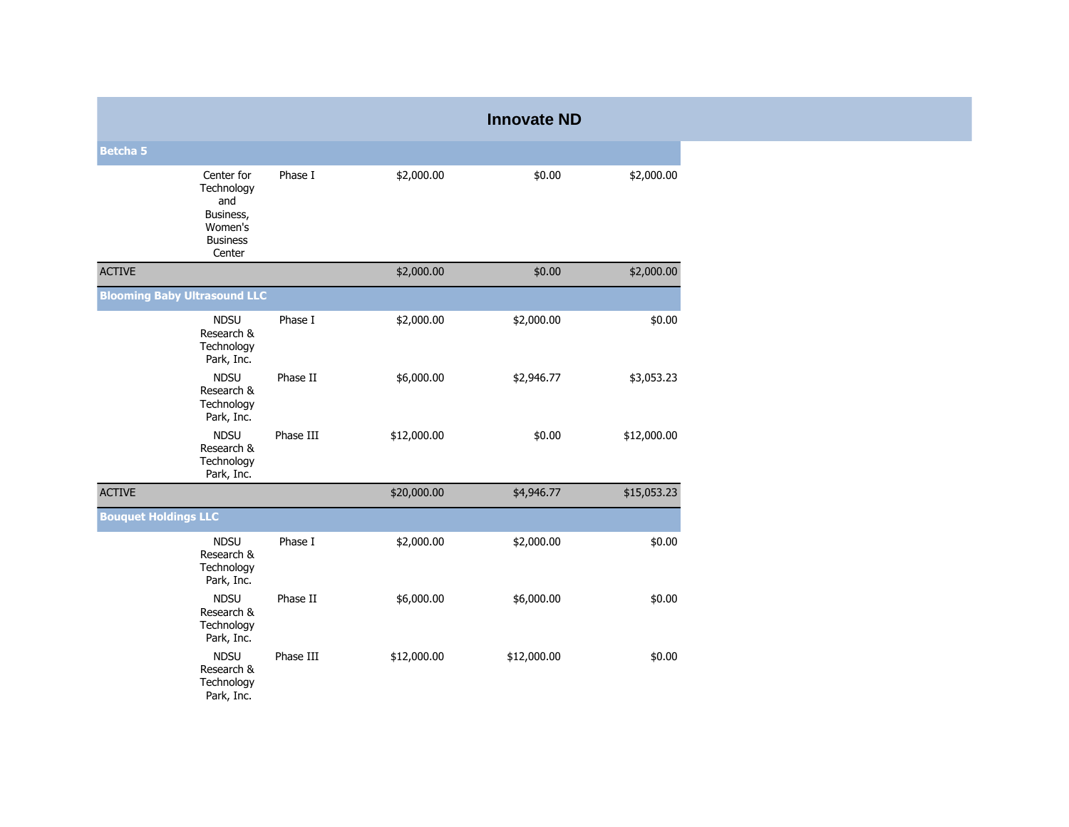|                                     |                                                                                      |           |             | <b>Innovate ND</b> |             |
|-------------------------------------|--------------------------------------------------------------------------------------|-----------|-------------|--------------------|-------------|
| <b>Betcha 5</b>                     |                                                                                      |           |             |                    |             |
|                                     | Center for<br>Technology<br>and<br>Business,<br>Women's<br><b>Business</b><br>Center | Phase I   | \$2,000.00  | \$0.00             | \$2,000.00  |
| <b>ACTIVE</b>                       |                                                                                      |           | \$2,000.00  | \$0.00             | \$2,000.00  |
| <b>Blooming Baby Ultrasound LLC</b> |                                                                                      |           |             |                    |             |
|                                     | <b>NDSU</b><br>Research &<br>Technology<br>Park, Inc.                                | Phase I   | \$2,000.00  | \$2,000.00         | \$0.00      |
|                                     | <b>NDSU</b><br>Research &<br>Technology<br>Park, Inc.                                | Phase II  | \$6,000.00  | \$2,946.77         | \$3,053.23  |
|                                     | <b>NDSU</b><br>Research &<br>Technology<br>Park, Inc.                                | Phase III | \$12,000.00 | \$0.00             | \$12,000.00 |
| <b>ACTIVE</b>                       |                                                                                      |           | \$20,000.00 | \$4,946.77         | \$15,053.23 |
| <b>Bouquet Holdings LLC</b>         |                                                                                      |           |             |                    |             |
|                                     | <b>NDSU</b><br>Research &<br>Technology<br>Park, Inc.                                | Phase I   | \$2,000.00  | \$2,000.00         | \$0.00      |
|                                     | <b>NDSU</b><br>Research &<br>Technology<br>Park, Inc.                                | Phase II  | \$6,000.00  | \$6,000.00         | \$0.00      |
|                                     | <b>NDSU</b><br>Research &<br>Technology<br>Park, Inc.                                | Phase III | \$12,000.00 | \$12,000.00        | \$0.00      |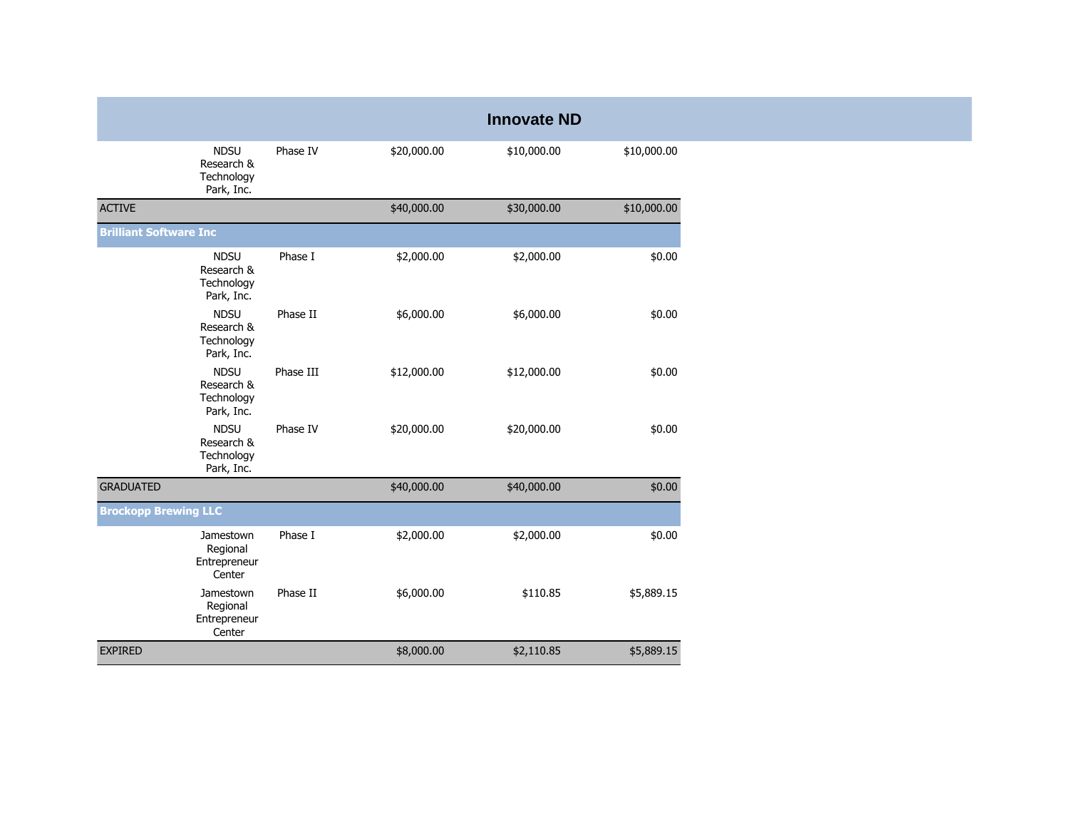|                               |                                                       |           |             | <b>Innovate ND</b> |             |
|-------------------------------|-------------------------------------------------------|-----------|-------------|--------------------|-------------|
|                               | <b>NDSU</b><br>Research &<br>Technology<br>Park, Inc. | Phase IV  | \$20,000.00 | \$10,000.00        | \$10,000.00 |
| <b>ACTIVE</b>                 |                                                       |           | \$40,000.00 | \$30,000.00        | \$10,000.00 |
| <b>Brilliant Software Inc</b> |                                                       |           |             |                    |             |
|                               | <b>NDSU</b><br>Research &<br>Technology<br>Park, Inc. | Phase I   | \$2,000.00  | \$2,000.00         | \$0.00      |
|                               | <b>NDSU</b><br>Research &<br>Technology<br>Park, Inc. | Phase II  | \$6,000.00  | \$6,000.00         | \$0.00      |
|                               | <b>NDSU</b><br>Research &<br>Technology<br>Park, Inc. | Phase III | \$12,000.00 | \$12,000.00        | \$0.00      |
|                               | <b>NDSU</b><br>Research &<br>Technology<br>Park, Inc. | Phase IV  | \$20,000.00 | \$20,000.00        | \$0.00      |
| <b>GRADUATED</b>              |                                                       |           | \$40,000.00 | \$40,000.00        | \$0.00      |
| <b>Brockopp Brewing LLC</b>   |                                                       |           |             |                    |             |
|                               | Jamestown<br>Regional<br>Entrepreneur<br>Center       | Phase I   | \$2,000.00  | \$2,000.00         | \$0.00      |
|                               | Jamestown<br>Regional<br>Entrepreneur<br>Center       | Phase II  | \$6,000.00  | \$110.85           | \$5,889.15  |
| <b>EXPIRED</b>                |                                                       |           | \$8,000.00  | \$2,110.85         | \$5,889.15  |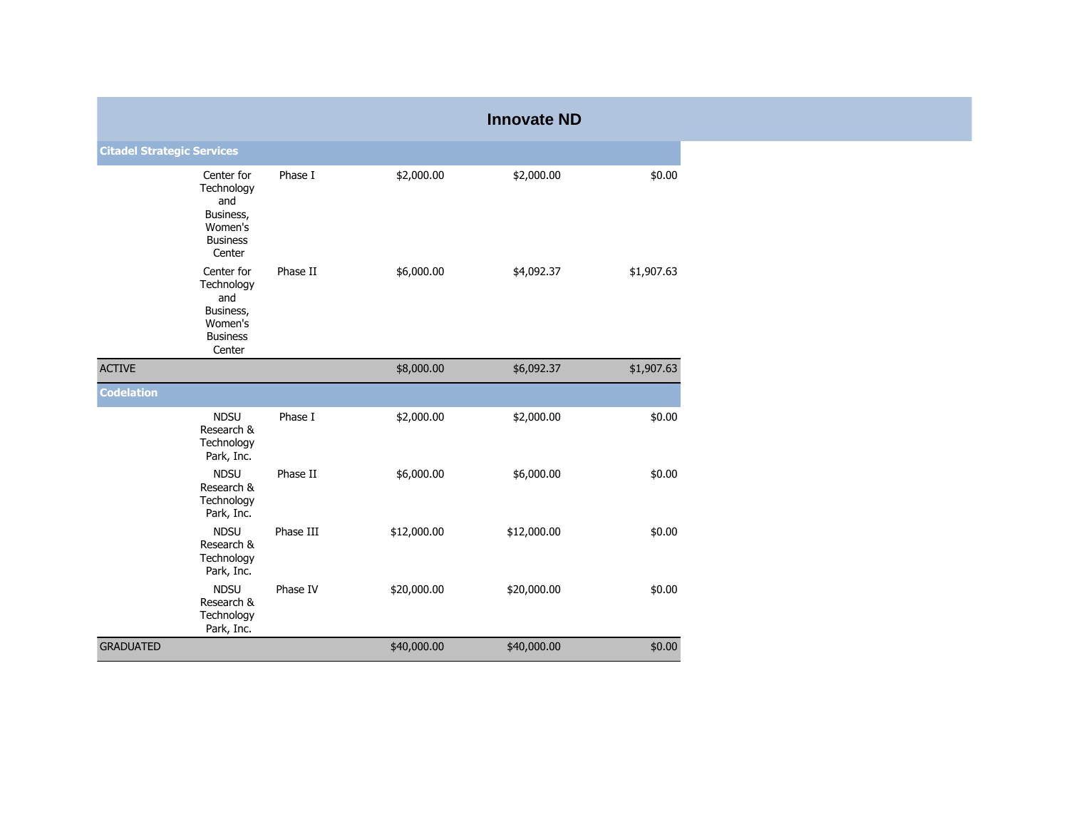|                                   |                                                                                      |           |             | <b>Innovate ND</b> |            |
|-----------------------------------|--------------------------------------------------------------------------------------|-----------|-------------|--------------------|------------|
| <b>Citadel Strategic Services</b> |                                                                                      |           |             |                    |            |
|                                   | Center for<br>Technology<br>and<br>Business,<br>Women's<br><b>Business</b><br>Center | Phase I   | \$2,000.00  | \$2,000.00         | \$0.00     |
|                                   | Center for<br>Technology<br>and<br>Business,<br>Women's<br><b>Business</b><br>Center | Phase II  | \$6,000.00  | \$4,092.37         | \$1,907.63 |
| <b>ACTIVE</b>                     |                                                                                      |           | \$8,000.00  | \$6,092.37         | \$1,907.63 |
| <b>Codelation</b>                 |                                                                                      |           |             |                    |            |
|                                   | <b>NDSU</b><br>Research &<br>Technology<br>Park, Inc.                                | Phase I   | \$2,000.00  | \$2,000.00         | \$0.00     |
|                                   | <b>NDSU</b><br>Research &<br>Technology<br>Park, Inc.                                | Phase II  | \$6,000.00  | \$6,000.00         | \$0.00     |
|                                   | <b>NDSU</b><br>Research &<br>Technology<br>Park, Inc.                                | Phase III | \$12,000.00 | \$12,000.00        | \$0.00     |
|                                   | <b>NDSU</b><br>Research &<br>Technology<br>Park, Inc.                                | Phase IV  | \$20,000.00 | \$20,000.00        | \$0.00     |
| <b>GRADUATED</b>                  |                                                                                      |           | \$40,000.00 | \$40,000.00        | \$0.00     |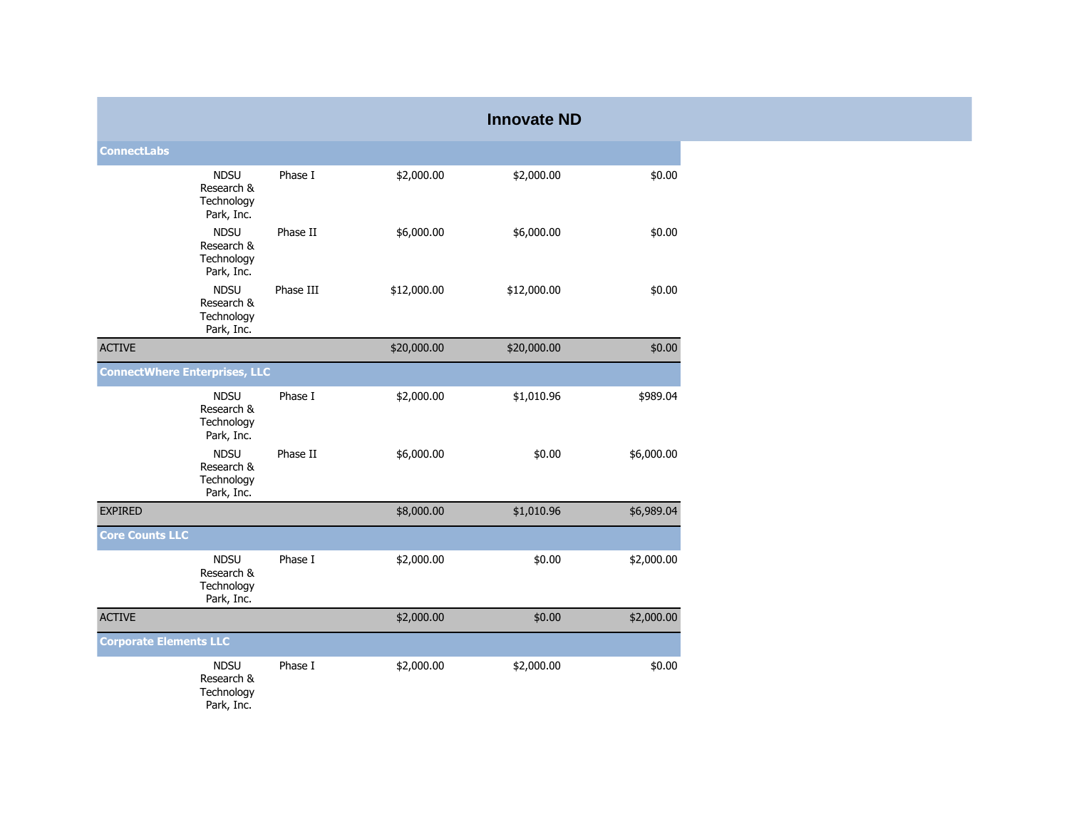|                                      |                                                       |           |             | <b>Innovate ND</b> |            |
|--------------------------------------|-------------------------------------------------------|-----------|-------------|--------------------|------------|
| <b>ConnectLabs</b>                   |                                                       |           |             |                    |            |
|                                      | <b>NDSU</b><br>Research &<br>Technology<br>Park, Inc. | Phase I   | \$2,000.00  | \$2,000.00         | \$0.00     |
|                                      | <b>NDSU</b><br>Research &<br>Technology<br>Park, Inc. | Phase II  | \$6,000.00  | \$6,000.00         | \$0.00     |
|                                      | <b>NDSU</b><br>Research &<br>Technology<br>Park, Inc. | Phase III | \$12,000.00 | \$12,000.00        | \$0.00     |
| <b>ACTIVE</b>                        |                                                       |           | \$20,000.00 | \$20,000.00        | \$0.00     |
| <b>ConnectWhere Enterprises, LLC</b> |                                                       |           |             |                    |            |
|                                      | <b>NDSU</b><br>Research &<br>Technology<br>Park, Inc. | Phase I   | \$2,000.00  | \$1,010.96         | \$989.04   |
|                                      | <b>NDSU</b><br>Research &<br>Technology<br>Park, Inc. | Phase II  | \$6,000.00  | \$0.00             | \$6,000.00 |
| <b>EXPIRED</b>                       |                                                       |           | \$8,000.00  | \$1,010.96         | \$6,989.04 |
| <b>Core Counts LLC</b>               |                                                       |           |             |                    |            |
|                                      | <b>NDSU</b><br>Research &<br>Technology<br>Park, Inc. | Phase I   | \$2,000.00  | \$0.00             | \$2,000.00 |
| <b>ACTIVE</b>                        |                                                       |           | \$2,000.00  | \$0.00             | \$2,000.00 |
| <b>Corporate Elements LLC</b>        |                                                       |           |             |                    |            |
|                                      | <b>NDSU</b><br>Research &<br>Technology<br>Park, Inc. | Phase I   | \$2,000.00  | \$2,000.00         | \$0.00     |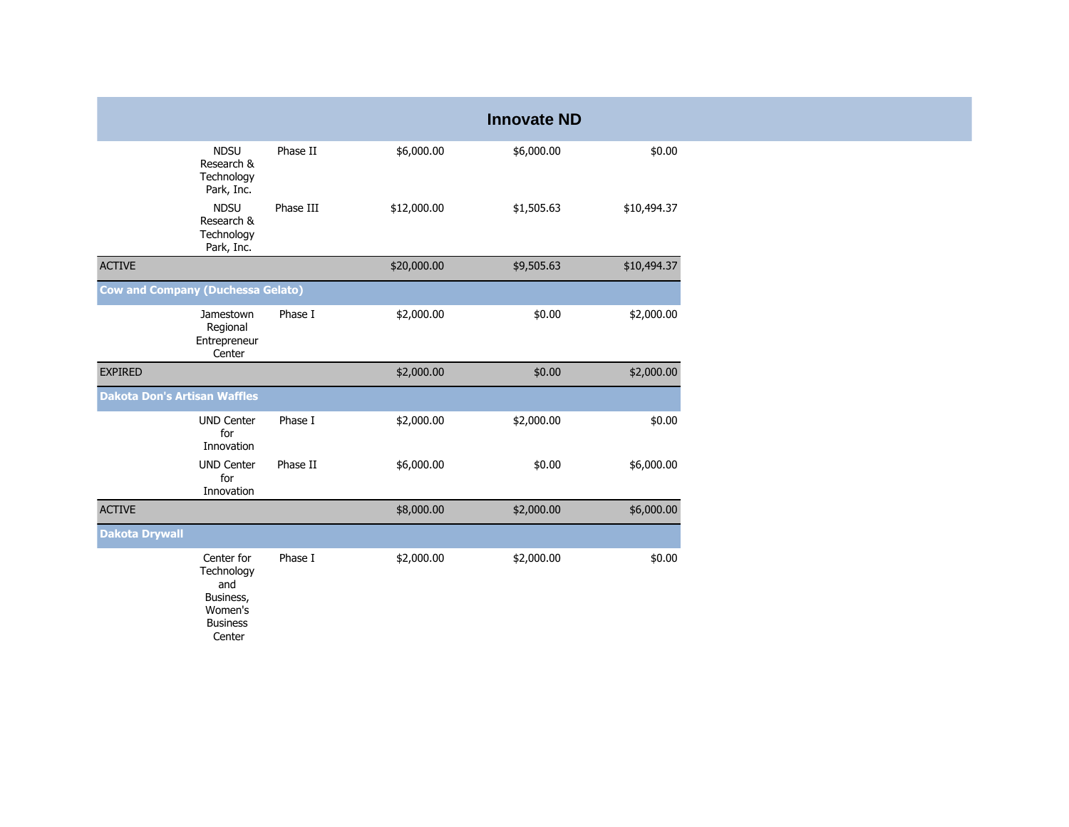|                                     |                                                                                      |           |             | <b>Innovate ND</b> |             |
|-------------------------------------|--------------------------------------------------------------------------------------|-----------|-------------|--------------------|-------------|
|                                     | <b>NDSU</b><br>Research &<br>Technology<br>Park, Inc.                                | Phase II  | \$6,000.00  | \$6,000.00         | \$0.00      |
|                                     | <b>NDSU</b><br>Research &<br>Technology<br>Park, Inc.                                | Phase III | \$12,000.00 | \$1,505.63         | \$10,494.37 |
| <b>ACTIVE</b>                       |                                                                                      |           | \$20,000.00 | \$9,505.63         | \$10,494.37 |
|                                     | <b>Cow and Company (Duchessa Gelato)</b>                                             |           |             |                    |             |
|                                     | Jamestown<br>Regional<br>Entrepreneur<br>Center                                      | Phase I   | \$2,000.00  | \$0.00             | \$2,000.00  |
| <b>EXPIRED</b>                      |                                                                                      |           | \$2,000.00  | \$0.00             | \$2,000.00  |
| <b>Dakota Don's Artisan Waffles</b> |                                                                                      |           |             |                    |             |
|                                     | <b>UND Center</b><br>for<br>Innovation                                               | Phase I   | \$2,000.00  | \$2,000.00         | \$0.00      |
|                                     | <b>UND Center</b><br>for<br>Innovation                                               | Phase II  | \$6,000.00  | \$0.00             | \$6,000.00  |
| <b>ACTIVE</b>                       |                                                                                      |           | \$8,000.00  | \$2,000.00         | \$6,000.00  |
| <b>Dakota Drywall</b>               |                                                                                      |           |             |                    |             |
|                                     | Center for<br>Technology<br>and<br>Business,<br>Women's<br><b>Business</b><br>Center | Phase I   | \$2,000.00  | \$2,000.00         | \$0.00      |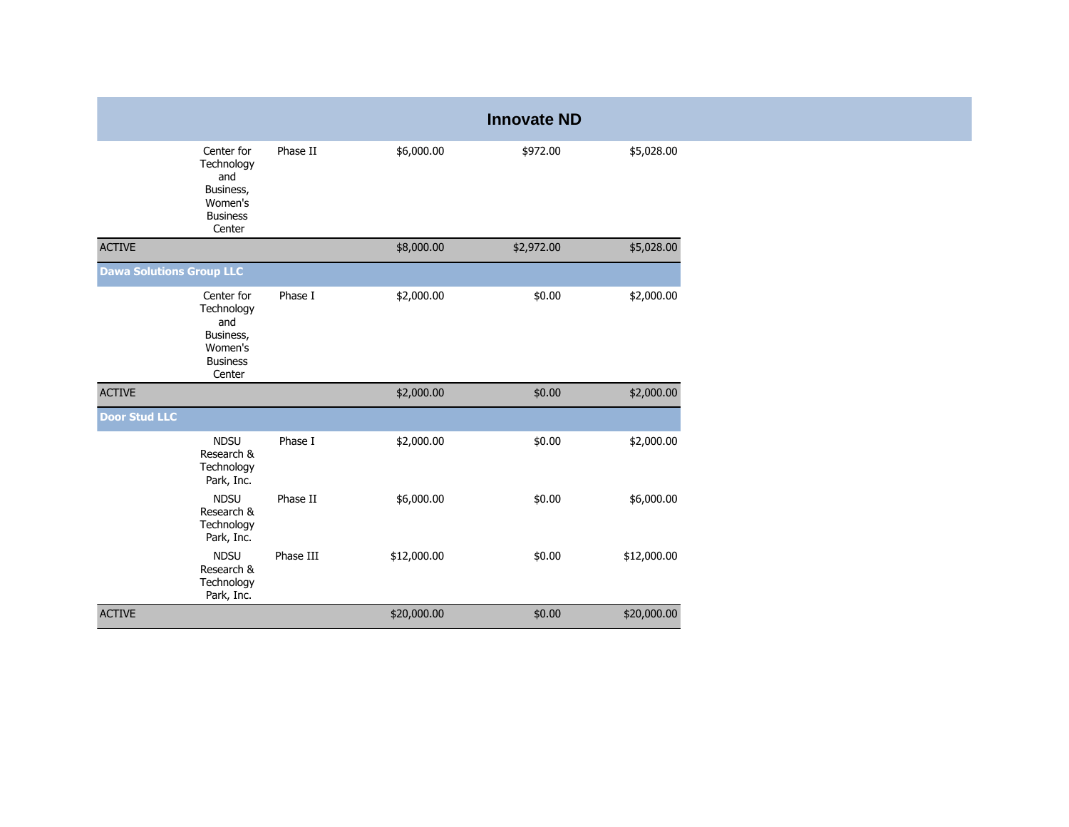|                                 |                                                                                      |           |             | <b>Innovate ND</b> |             |
|---------------------------------|--------------------------------------------------------------------------------------|-----------|-------------|--------------------|-------------|
|                                 | Center for<br>Technology<br>and<br>Business,<br>Women's<br><b>Business</b><br>Center | Phase II  | \$6,000.00  | \$972.00           | \$5,028.00  |
| <b>ACTIVE</b>                   |                                                                                      |           | \$8,000.00  | \$2,972.00         | \$5,028.00  |
| <b>Dawa Solutions Group LLC</b> |                                                                                      |           |             |                    |             |
|                                 | Center for<br>Technology<br>and<br>Business,<br>Women's<br><b>Business</b><br>Center | Phase I   | \$2,000.00  | \$0.00             | \$2,000.00  |
| <b>ACTIVE</b>                   |                                                                                      |           | \$2,000.00  | \$0.00             | \$2,000.00  |
| <b>Door Stud LLC</b>            |                                                                                      |           |             |                    |             |
|                                 | <b>NDSU</b><br>Research &<br>Technology<br>Park, Inc.                                | Phase I   | \$2,000.00  | \$0.00             | \$2,000.00  |
|                                 | <b>NDSU</b><br>Research &<br>Technology<br>Park, Inc.                                | Phase II  | \$6,000.00  | \$0.00             | \$6,000.00  |
|                                 | <b>NDSU</b><br>Research &<br>Technology<br>Park, Inc.                                | Phase III | \$12,000.00 | \$0.00             | \$12,000.00 |
| <b>ACTIVE</b>                   |                                                                                      |           | \$20,000.00 | \$0.00             | \$20,000.00 |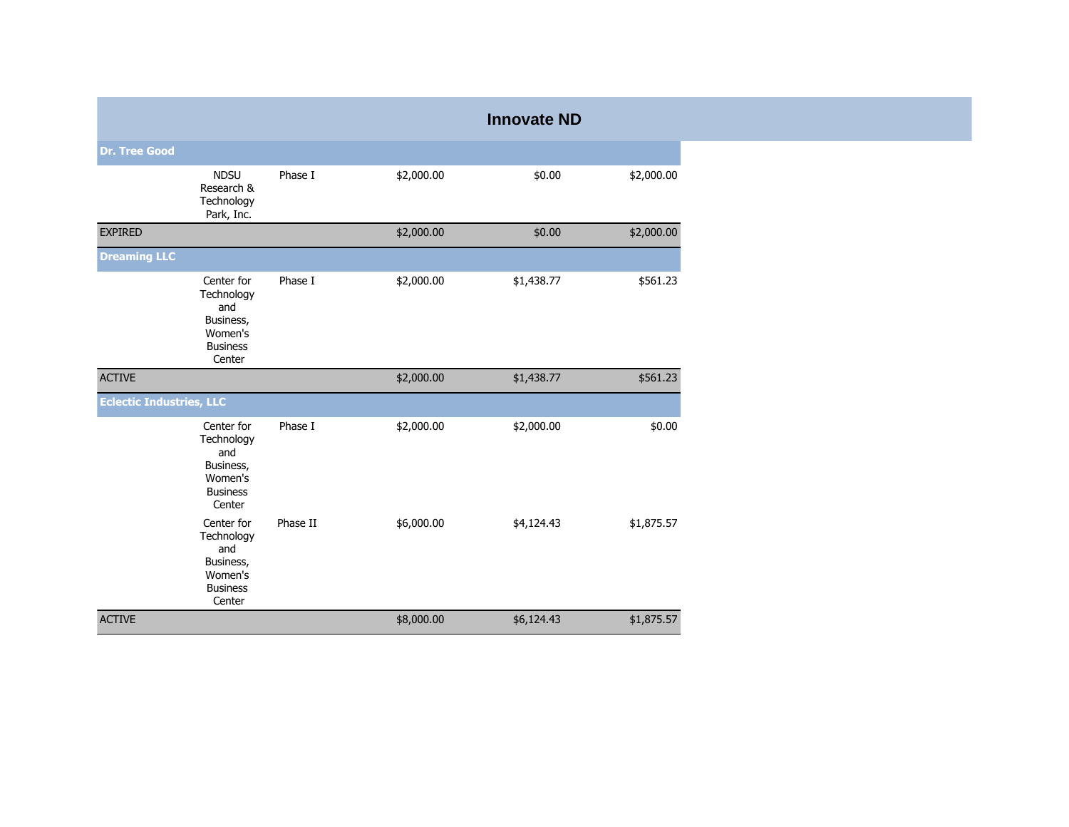|                                 |                                                                                      |          |            | <b>Innovate ND</b> |            |
|---------------------------------|--------------------------------------------------------------------------------------|----------|------------|--------------------|------------|
| <b>Dr. Tree Good</b>            |                                                                                      |          |            |                    |            |
|                                 | <b>NDSU</b><br>Research &<br>Technology<br>Park, Inc.                                | Phase I  | \$2,000.00 | \$0.00             | \$2,000.00 |
| <b>EXPIRED</b>                  |                                                                                      |          | \$2,000.00 | \$0.00             | \$2,000.00 |
| <b>Dreaming LLC</b>             |                                                                                      |          |            |                    |            |
|                                 | Center for<br>Technology<br>and<br>Business,<br>Women's<br><b>Business</b><br>Center | Phase I  | \$2,000.00 | \$1,438.77         | \$561.23   |
| <b>ACTIVE</b>                   |                                                                                      |          | \$2,000.00 | \$1,438.77         | \$561.23   |
| <b>Eclectic Industries, LLC</b> |                                                                                      |          |            |                    |            |
|                                 | Center for<br>Technology<br>and<br>Business,<br>Women's<br><b>Business</b><br>Center | Phase I  | \$2,000.00 | \$2,000.00         | \$0.00     |
|                                 | Center for<br>Technology<br>and<br>Business,<br>Women's<br><b>Business</b><br>Center | Phase II | \$6,000.00 | \$4,124.43         | \$1,875.57 |
| <b>ACTIVE</b>                   |                                                                                      |          | \$8,000.00 | \$6,124.43         | \$1,875.57 |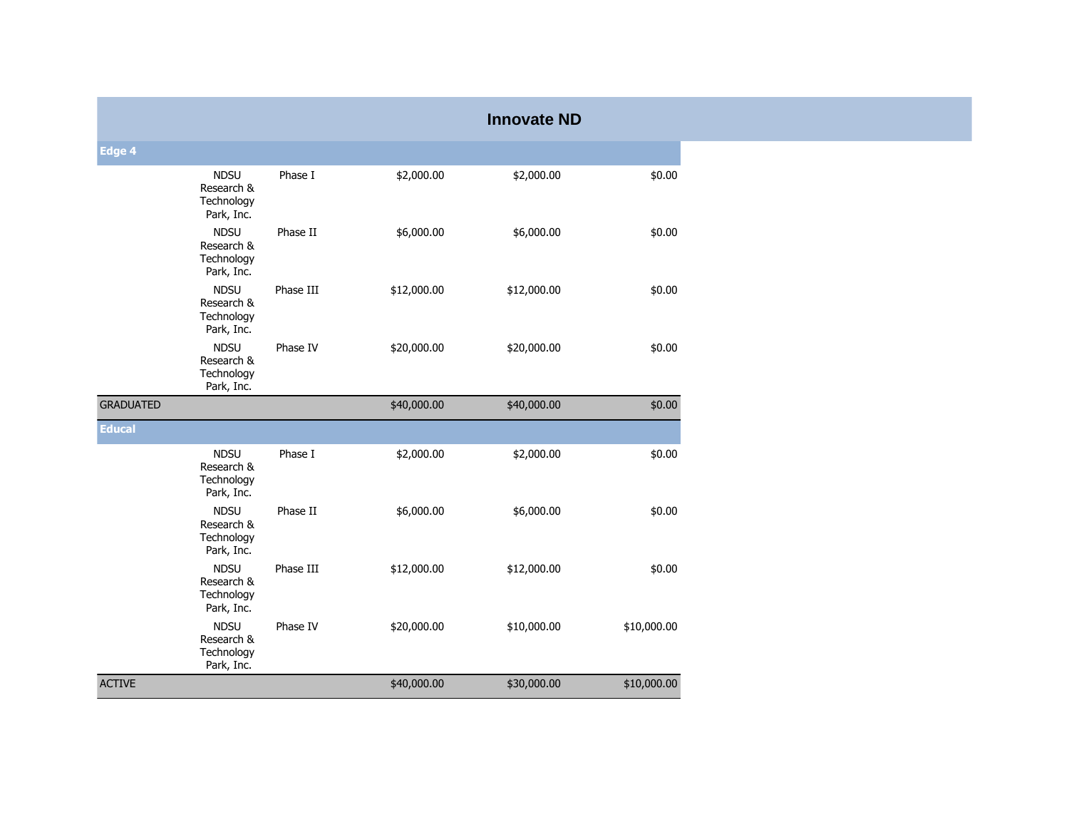|                  |                                                       |           |             | <b>Innovate ND</b> |             |
|------------------|-------------------------------------------------------|-----------|-------------|--------------------|-------------|
| Edge 4           |                                                       |           |             |                    |             |
|                  | <b>NDSU</b><br>Research &<br>Technology<br>Park, Inc. | Phase I   | \$2,000.00  | \$2,000.00         | \$0.00      |
|                  | <b>NDSU</b><br>Research &<br>Technology<br>Park, Inc. | Phase II  | \$6,000.00  | \$6,000.00         | \$0.00      |
|                  | <b>NDSU</b><br>Research &<br>Technology<br>Park, Inc. | Phase III | \$12,000.00 | \$12,000.00        | \$0.00      |
|                  | <b>NDSU</b><br>Research &<br>Technology<br>Park, Inc. | Phase IV  | \$20,000.00 | \$20,000.00        | \$0.00      |
| <b>GRADUATED</b> |                                                       |           | \$40,000.00 | \$40,000.00        | \$0.00      |
| <b>Educal</b>    |                                                       |           |             |                    |             |
|                  | <b>NDSU</b><br>Research &<br>Technology<br>Park, Inc. | Phase I   | \$2,000.00  | \$2,000.00         | \$0.00      |
|                  | <b>NDSU</b><br>Research &<br>Technology<br>Park, Inc. | Phase II  | \$6,000.00  | \$6,000.00         | \$0.00      |
|                  | <b>NDSU</b><br>Research &<br>Technology<br>Park, Inc. | Phase III | \$12,000.00 | \$12,000.00        | \$0.00      |
|                  | <b>NDSU</b><br>Research &<br>Technology<br>Park, Inc. | Phase IV  | \$20,000.00 | \$10,000.00        | \$10,000.00 |
| <b>ACTIVE</b>    |                                                       |           | \$40,000.00 | \$30,000.00        | \$10,000.00 |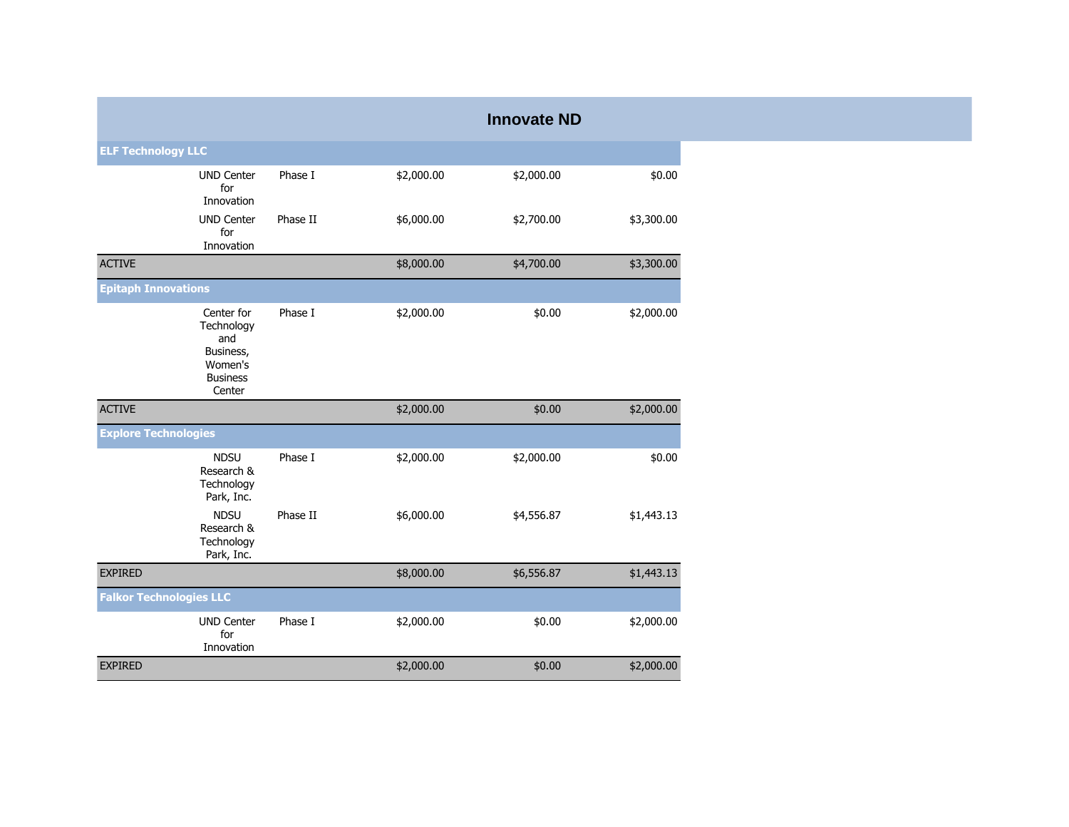|                                |                                                                                      |          |            | <b>Innovate ND</b> |            |
|--------------------------------|--------------------------------------------------------------------------------------|----------|------------|--------------------|------------|
| <b>ELF Technology LLC</b>      |                                                                                      |          |            |                    |            |
|                                | <b>UND Center</b><br>for<br>Innovation                                               | Phase I  | \$2,000.00 | \$2,000.00         | \$0.00     |
|                                | <b>UND Center</b><br>for<br>Innovation                                               | Phase II | \$6,000.00 | \$2,700.00         | \$3,300.00 |
| <b>ACTIVE</b>                  |                                                                                      |          | \$8,000.00 | \$4,700.00         | \$3,300.00 |
| <b>Epitaph Innovations</b>     |                                                                                      |          |            |                    |            |
|                                | Center for<br>Technology<br>and<br>Business,<br>Women's<br><b>Business</b><br>Center | Phase I  | \$2,000.00 | \$0.00             | \$2,000.00 |
| <b>ACTIVE</b>                  |                                                                                      |          | \$2,000.00 | \$0.00             | \$2,000.00 |
| <b>Explore Technologies</b>    |                                                                                      |          |            |                    |            |
|                                | <b>NDSU</b><br>Research &<br>Technology<br>Park, Inc.                                | Phase I  | \$2,000.00 | \$2,000.00         | \$0.00     |
|                                | <b>NDSU</b><br>Research &<br>Technology<br>Park, Inc.                                | Phase II | \$6,000.00 | \$4,556.87         | \$1,443.13 |
| <b>EXPIRED</b>                 |                                                                                      |          | \$8,000.00 | \$6,556.87         | \$1,443.13 |
| <b>Falkor Technologies LLC</b> |                                                                                      |          |            |                    |            |
|                                | <b>UND Center</b><br>for<br>Innovation                                               | Phase I  | \$2,000.00 | \$0.00             | \$2,000.00 |
| <b>EXPIRED</b>                 |                                                                                      |          | \$2,000.00 | \$0.00             | \$2,000.00 |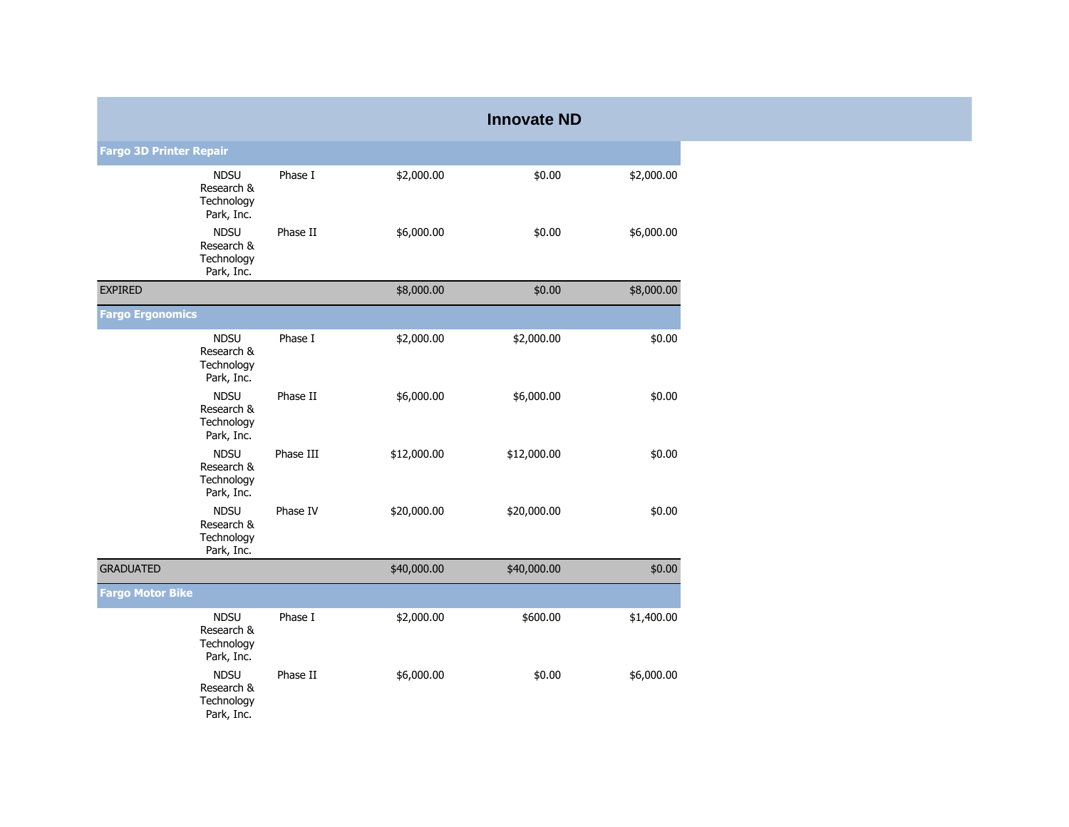|                                |                                                       |           |             | <b>Innovate ND</b> |            |
|--------------------------------|-------------------------------------------------------|-----------|-------------|--------------------|------------|
| <b>Fargo 3D Printer Repair</b> |                                                       |           |             |                    |            |
|                                | <b>NDSU</b><br>Research &<br>Technology<br>Park, Inc. | Phase I   | \$2,000.00  | \$0.00             | \$2,000.00 |
|                                | <b>NDSU</b><br>Research &<br>Technology<br>Park, Inc. | Phase II  | \$6,000.00  | \$0.00             | \$6,000.00 |
| <b>EXPIRED</b>                 |                                                       |           | \$8,000.00  | \$0.00             | \$8,000.00 |
| <b>Fargo Ergonomics</b>        |                                                       |           |             |                    |            |
|                                | <b>NDSU</b><br>Research &<br>Technology<br>Park, Inc. | Phase I   | \$2,000.00  | \$2,000.00         | \$0.00     |
|                                | <b>NDSU</b><br>Research &<br>Technology<br>Park, Inc. | Phase II  | \$6,000.00  | \$6,000.00         | \$0.00     |
|                                | <b>NDSU</b><br>Research &<br>Technology<br>Park, Inc. | Phase III | \$12,000.00 | \$12,000.00        | \$0.00     |
|                                | <b>NDSU</b><br>Research &<br>Technology<br>Park, Inc. | Phase IV  | \$20,000.00 | \$20,000.00        | \$0.00     |
| <b>GRADUATED</b>               |                                                       |           | \$40,000.00 | \$40,000.00        | \$0.00     |
| <b>Fargo Motor Bike</b>        |                                                       |           |             |                    |            |
|                                | <b>NDSU</b><br>Research &<br>Technology<br>Park, Inc. | Phase I   | \$2,000.00  | \$600.00           | \$1,400.00 |
|                                | <b>NDSU</b><br>Research &<br>Technology<br>Park, Inc. | Phase II  | \$6,000.00  | \$0.00             | \$6,000.00 |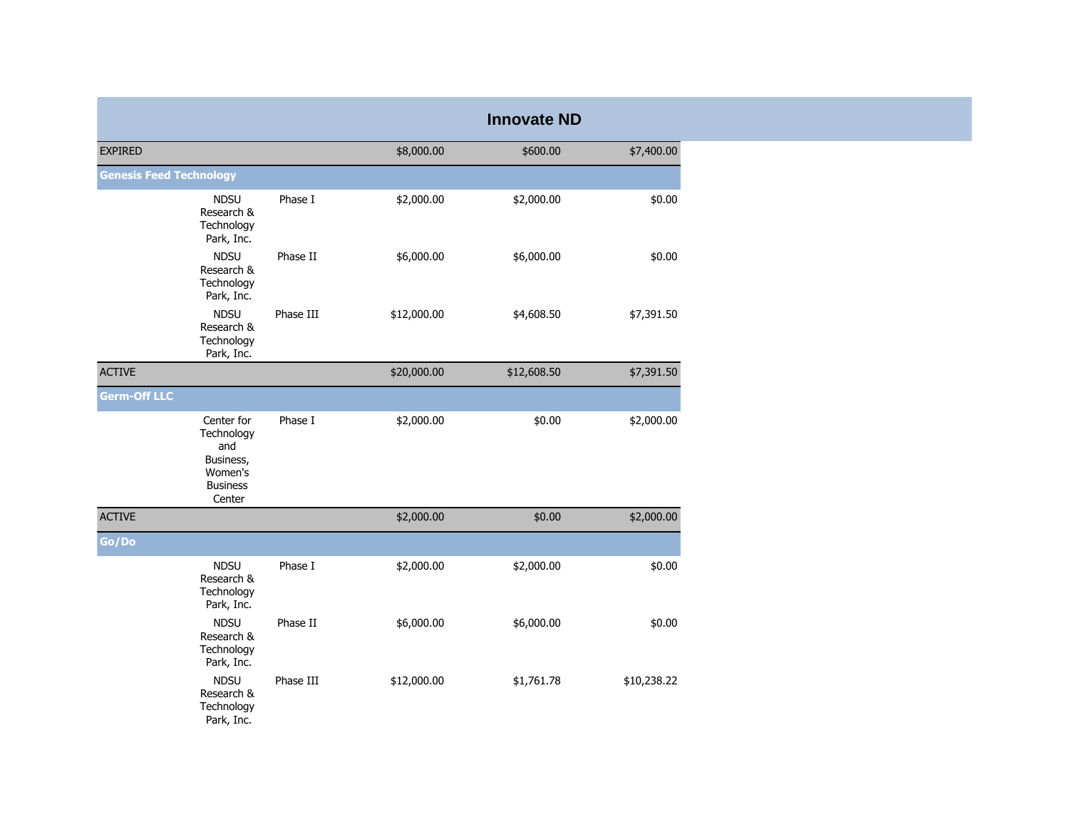|                                |                                                                                      |           |             | <b>Innovate ND</b> |             |
|--------------------------------|--------------------------------------------------------------------------------------|-----------|-------------|--------------------|-------------|
| <b>EXPIRED</b>                 |                                                                                      |           | \$8,000.00  | \$600.00           | \$7,400.00  |
| <b>Genesis Feed Technology</b> |                                                                                      |           |             |                    |             |
|                                | <b>NDSU</b><br>Research &<br>Technology<br>Park, Inc.                                | Phase I   | \$2,000.00  | \$2,000.00         | \$0.00      |
|                                | <b>NDSU</b><br>Research &<br>Technology<br>Park, Inc.                                | Phase II  | \$6,000.00  | \$6,000.00         | \$0.00      |
|                                | <b>NDSU</b><br>Research &<br>Technology<br>Park, Inc.                                | Phase III | \$12,000.00 | \$4,608.50         | \$7,391.50  |
| <b>ACTIVE</b>                  |                                                                                      |           | \$20,000.00 | \$12,608.50        | \$7,391.50  |
| <b>Germ-Off LLC</b>            |                                                                                      |           |             |                    |             |
|                                | Center for<br>Technology<br>and<br>Business,<br>Women's<br><b>Business</b><br>Center | Phase I   | \$2,000.00  | \$0.00             | \$2,000.00  |
| <b>ACTIVE</b>                  |                                                                                      |           | \$2,000.00  | \$0.00             | \$2,000.00  |
| Go/Do                          |                                                                                      |           |             |                    |             |
|                                | <b>NDSU</b><br>Research &<br>Technology<br>Park, Inc.                                | Phase I   | \$2,000.00  | \$2,000.00         | \$0.00      |
|                                | <b>NDSU</b><br>Research &<br>Technology<br>Park, Inc.                                | Phase II  | \$6,000.00  | \$6,000.00         | \$0.00      |
|                                | <b>NDSU</b><br>Research &<br>Technology<br>Park, Inc.                                | Phase III | \$12,000.00 | \$1,761.78         | \$10,238.22 |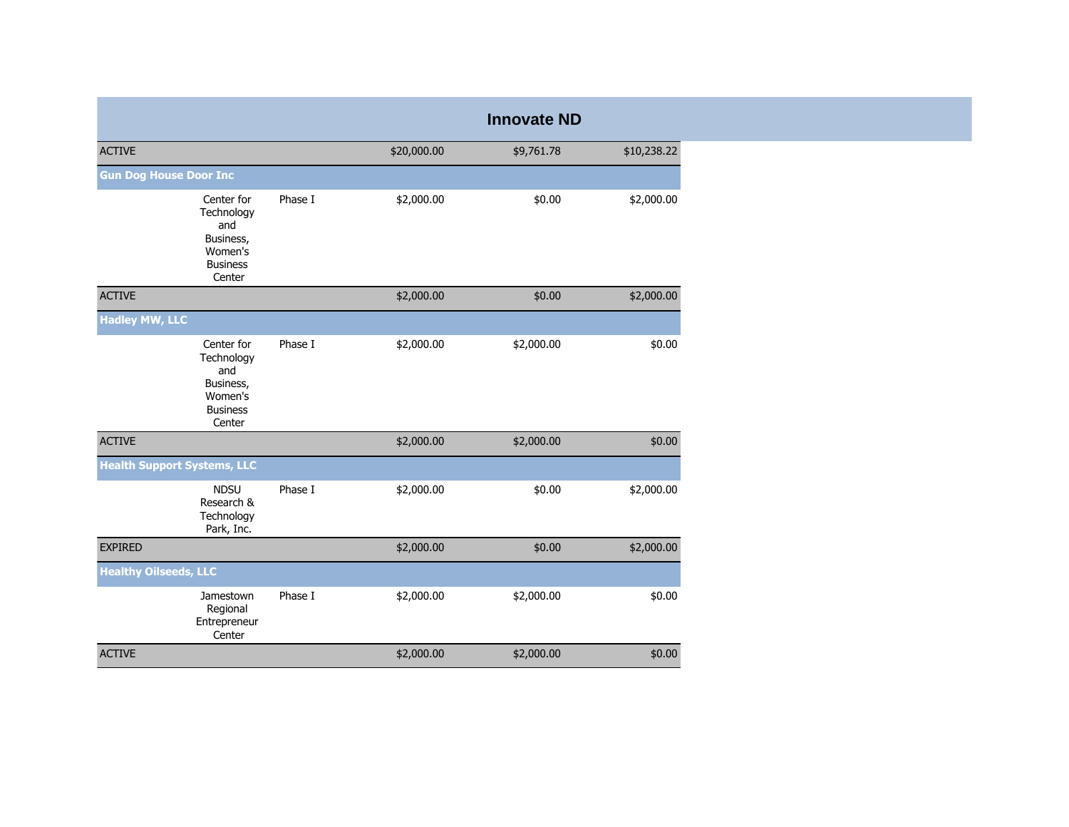|                                                                                      |         |             | <b>Innovate ND</b> |             |
|--------------------------------------------------------------------------------------|---------|-------------|--------------------|-------------|
| <b>ACTIVE</b>                                                                        |         | \$20,000.00 | \$9,761.78         | \$10,238.22 |
| <b>Gun Dog House Door Inc</b>                                                        |         |             |                    |             |
| Center for<br>Technology<br>and<br>Business,<br>Women's<br><b>Business</b><br>Center | Phase I | \$2,000.00  | \$0.00             | \$2,000.00  |
| <b>ACTIVE</b>                                                                        |         | \$2,000.00  | \$0.00             | \$2,000.00  |
| <b>Hadley MW, LLC</b>                                                                |         |             |                    |             |
| Center for<br>Technology<br>and<br>Business,<br>Women's<br><b>Business</b><br>Center | Phase I | \$2,000.00  | \$2,000.00         | \$0.00      |
| <b>ACTIVE</b>                                                                        |         | \$2,000.00  | \$2,000.00         | \$0.00      |
| <b>Health Support Systems, LLC</b>                                                   |         |             |                    |             |
| <b>NDSU</b><br>Research &<br>Technology<br>Park, Inc.                                | Phase I | \$2,000.00  | \$0.00             | \$2,000.00  |
| <b>EXPIRED</b>                                                                       |         | \$2,000.00  | \$0.00             | \$2,000.00  |
| <b>Healthy Oilseeds, LLC</b>                                                         |         |             |                    |             |
| Jamestown<br>Regional<br>Entrepreneur<br>Center                                      | Phase I | \$2,000.00  | \$2,000.00         | \$0.00      |
| <b>ACTIVE</b>                                                                        |         | \$2,000.00  | \$2,000.00         | \$0.00      |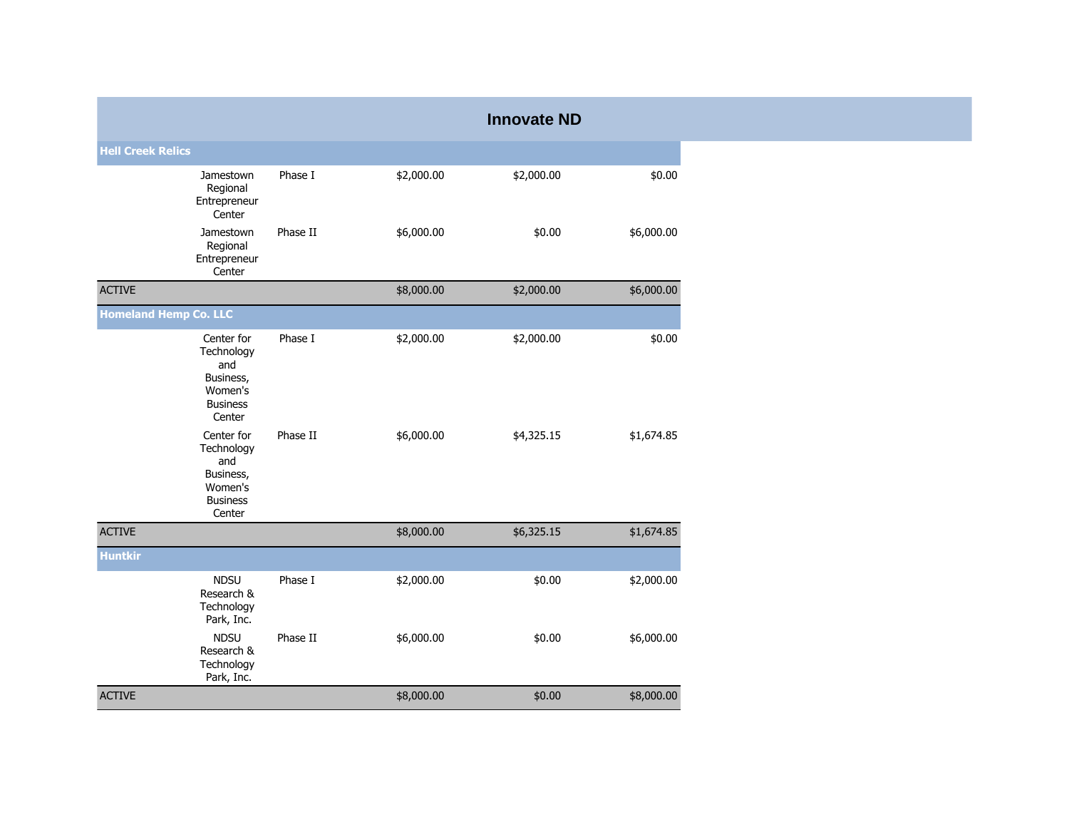|                              |                                                                                      |          |            | <b>Innovate ND</b> |            |
|------------------------------|--------------------------------------------------------------------------------------|----------|------------|--------------------|------------|
| <b>Hell Creek Relics</b>     |                                                                                      |          |            |                    |            |
|                              | Jamestown<br>Regional<br>Entrepreneur<br>Center                                      | Phase I  | \$2,000.00 | \$2,000.00         | \$0.00     |
|                              | Jamestown<br>Regional<br>Entrepreneur<br>Center                                      | Phase II | \$6,000.00 | \$0.00             | \$6,000.00 |
| <b>ACTIVE</b>                |                                                                                      |          | \$8,000.00 | \$2,000.00         | \$6,000.00 |
| <b>Homeland Hemp Co. LLC</b> |                                                                                      |          |            |                    |            |
|                              | Center for<br>Technology<br>and<br>Business,<br>Women's<br><b>Business</b><br>Center | Phase I  | \$2,000.00 | \$2,000.00         | \$0.00     |
|                              | Center for<br>Technology<br>and<br>Business,<br>Women's<br><b>Business</b><br>Center | Phase II | \$6,000.00 | \$4,325.15         | \$1,674.85 |
| <b>ACTIVE</b>                |                                                                                      |          | \$8,000.00 | \$6,325.15         | \$1,674.85 |
| <b>Huntkir</b>               |                                                                                      |          |            |                    |            |
|                              | <b>NDSU</b><br>Research &<br>Technology<br>Park, Inc.                                | Phase I  | \$2,000.00 | \$0.00             | \$2,000.00 |
|                              | <b>NDSU</b><br>Research &<br>Technology<br>Park, Inc.                                | Phase II | \$6,000.00 | \$0.00             | \$6,000.00 |
| <b>ACTIVE</b>                |                                                                                      |          | \$8,000.00 | \$0.00             | \$8,000.00 |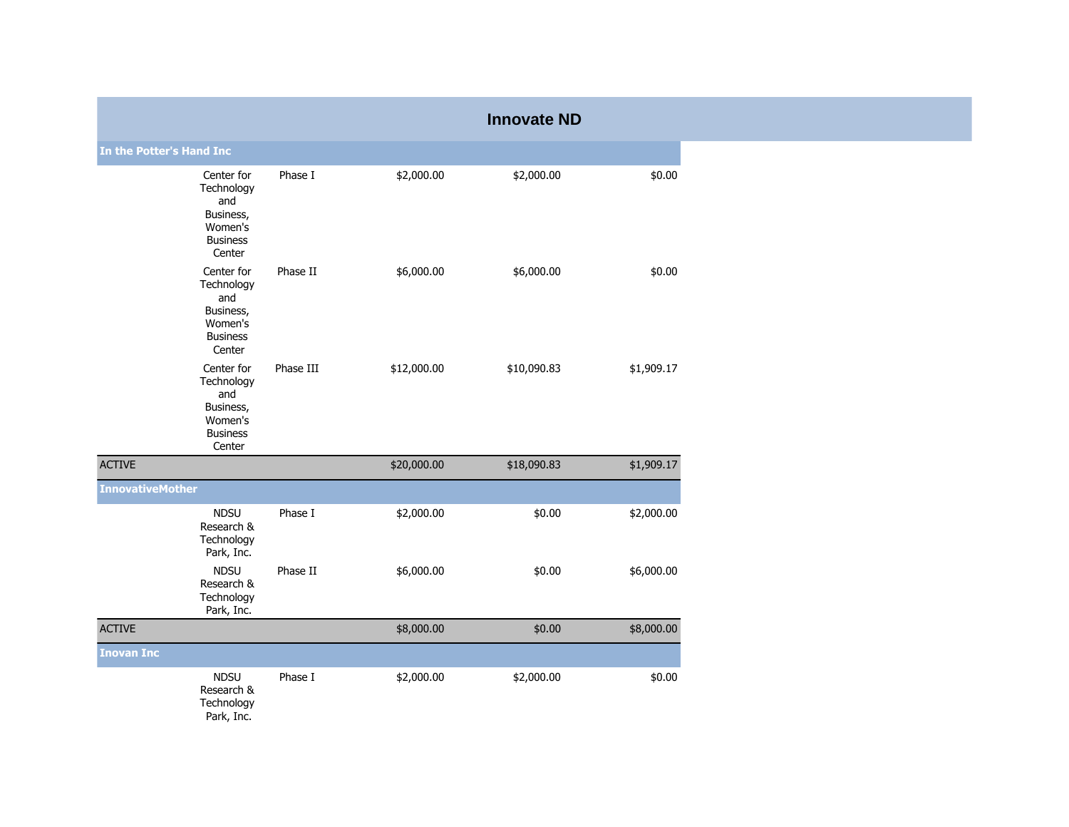|                          |                                                                                      |           |             | <b>Innovate ND</b> |            |
|--------------------------|--------------------------------------------------------------------------------------|-----------|-------------|--------------------|------------|
| In the Potter's Hand Inc |                                                                                      |           |             |                    |            |
|                          | Center for<br>Technology<br>and<br>Business,<br>Women's<br><b>Business</b><br>Center | Phase I   | \$2,000.00  | \$2,000.00         | \$0.00     |
|                          | Center for<br>Technology<br>and<br>Business,<br>Women's<br><b>Business</b><br>Center | Phase II  | \$6,000.00  | \$6,000.00         | \$0.00     |
|                          | Center for<br>Technology<br>and<br>Business,<br>Women's<br><b>Business</b><br>Center | Phase III | \$12,000.00 | \$10,090.83        | \$1,909.17 |
| <b>ACTIVE</b>            |                                                                                      |           | \$20,000.00 | \$18,090.83        | \$1,909.17 |
| <b>InnovativeMother</b>  |                                                                                      |           |             |                    |            |
|                          | <b>NDSU</b><br>Research &<br>Technology<br>Park, Inc.                                | Phase I   | \$2,000.00  | \$0.00             | \$2,000.00 |
|                          | <b>NDSU</b><br>Research &<br>Technology<br>Park, Inc.                                | Phase II  | \$6,000.00  | \$0.00             | \$6,000.00 |
| <b>ACTIVE</b>            |                                                                                      |           | \$8,000.00  | \$0.00             | \$8,000.00 |
| <b>Inovan Inc</b>        |                                                                                      |           |             |                    |            |
|                          | <b>NDSU</b><br>Research &<br>Technology<br>Park, Inc.                                | Phase I   | \$2,000.00  | \$2,000.00         | \$0.00     |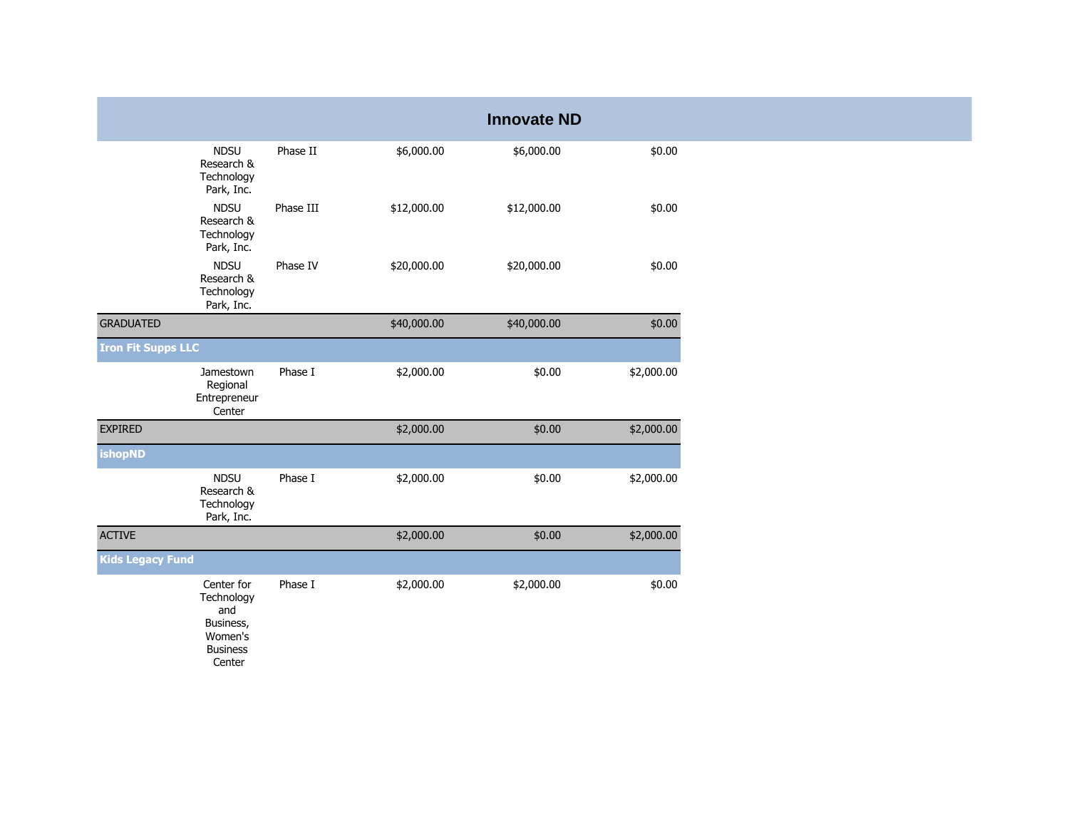|                           |                                                                                      |           |             | <b>Innovate ND</b> |            |
|---------------------------|--------------------------------------------------------------------------------------|-----------|-------------|--------------------|------------|
|                           | <b>NDSU</b><br>Research &<br>Technology<br>Park, Inc.                                | Phase II  | \$6,000.00  | \$6,000.00         | \$0.00     |
|                           | <b>NDSU</b><br>Research &<br>Technology<br>Park, Inc.                                | Phase III | \$12,000.00 | \$12,000.00        | \$0.00     |
|                           | <b>NDSU</b><br>Research &<br>Technology<br>Park, Inc.                                | Phase IV  | \$20,000.00 | \$20,000.00        | \$0.00     |
| <b>GRADUATED</b>          |                                                                                      |           | \$40,000.00 | \$40,000.00        | \$0.00     |
| <b>Iron Fit Supps LLC</b> |                                                                                      |           |             |                    |            |
|                           | Jamestown<br>Regional<br>Entrepreneur<br>Center                                      | Phase I   | \$2,000.00  | \$0.00             | \$2,000.00 |
| <b>EXPIRED</b>            |                                                                                      |           | \$2,000.00  | \$0.00             | \$2,000.00 |
| <b>ishopND</b>            |                                                                                      |           |             |                    |            |
|                           | <b>NDSU</b><br>Research &<br>Technology<br>Park, Inc.                                | Phase I   | \$2,000.00  | \$0.00             | \$2,000.00 |
| <b>ACTIVE</b>             |                                                                                      |           | \$2,000.00  | \$0.00             | \$2,000.00 |
| <b>Kids Legacy Fund</b>   |                                                                                      |           |             |                    |            |
|                           | Center for<br>Technology<br>and<br>Business,<br>Women's<br><b>Business</b><br>Center | Phase I   | \$2,000.00  | \$2,000.00         | \$0.00     |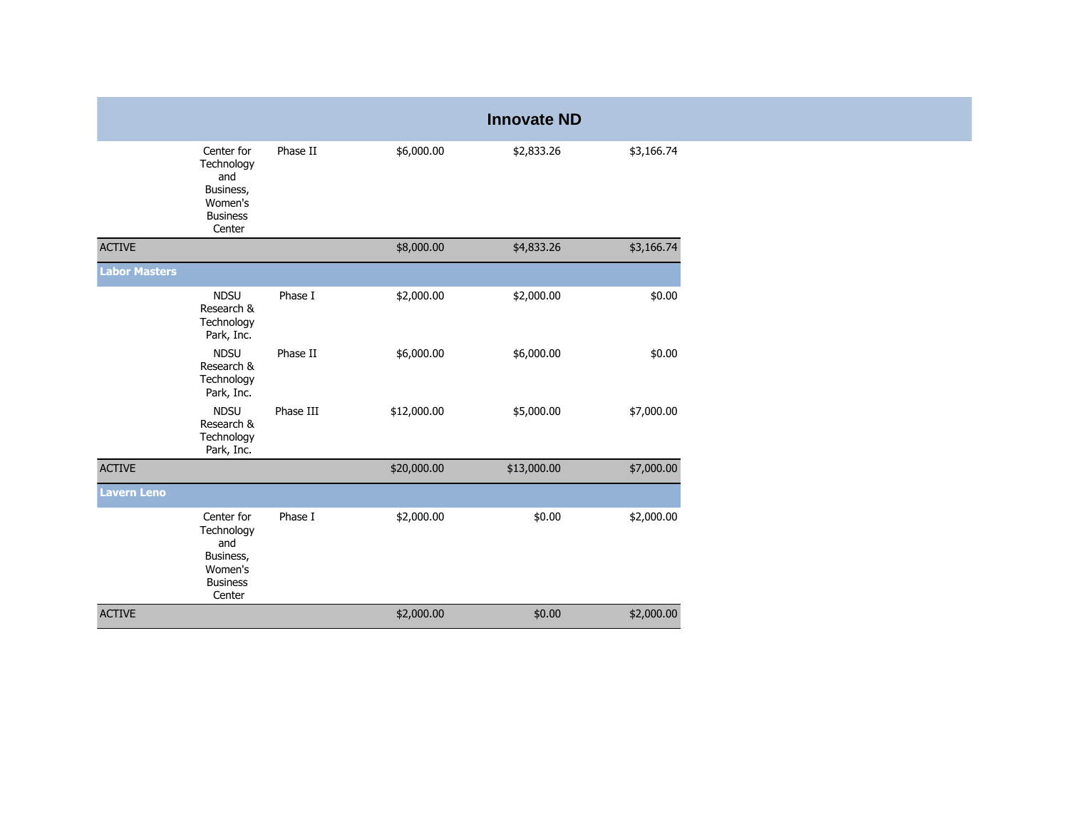|                      |                                                                                      |           |             | <b>Innovate ND</b> |            |
|----------------------|--------------------------------------------------------------------------------------|-----------|-------------|--------------------|------------|
|                      | Center for<br>Technology<br>and<br>Business,<br>Women's<br><b>Business</b><br>Center | Phase II  | \$6,000.00  | \$2,833.26         | \$3,166.74 |
| <b>ACTIVE</b>        |                                                                                      |           | \$8,000.00  | \$4,833.26         | \$3,166.74 |
| <b>Labor Masters</b> |                                                                                      |           |             |                    |            |
|                      | <b>NDSU</b><br>Research &<br>Technology<br>Park, Inc.                                | Phase I   | \$2,000.00  | \$2,000.00         | \$0.00     |
|                      | <b>NDSU</b><br>Research &<br>Technology<br>Park, Inc.                                | Phase II  | \$6,000.00  | \$6,000.00         | \$0.00     |
|                      | <b>NDSU</b><br>Research &<br>Technology<br>Park, Inc.                                | Phase III | \$12,000.00 | \$5,000.00         | \$7,000.00 |
| <b>ACTIVE</b>        |                                                                                      |           | \$20,000.00 | \$13,000.00        | \$7,000.00 |
| <b>Lavern Leno</b>   |                                                                                      |           |             |                    |            |
|                      | Center for<br>Technology<br>and<br>Business,<br>Women's<br><b>Business</b><br>Center | Phase I   | \$2,000.00  | \$0.00             | \$2,000.00 |
| <b>ACTIVE</b>        |                                                                                      |           | \$2,000.00  | \$0.00             | \$2,000.00 |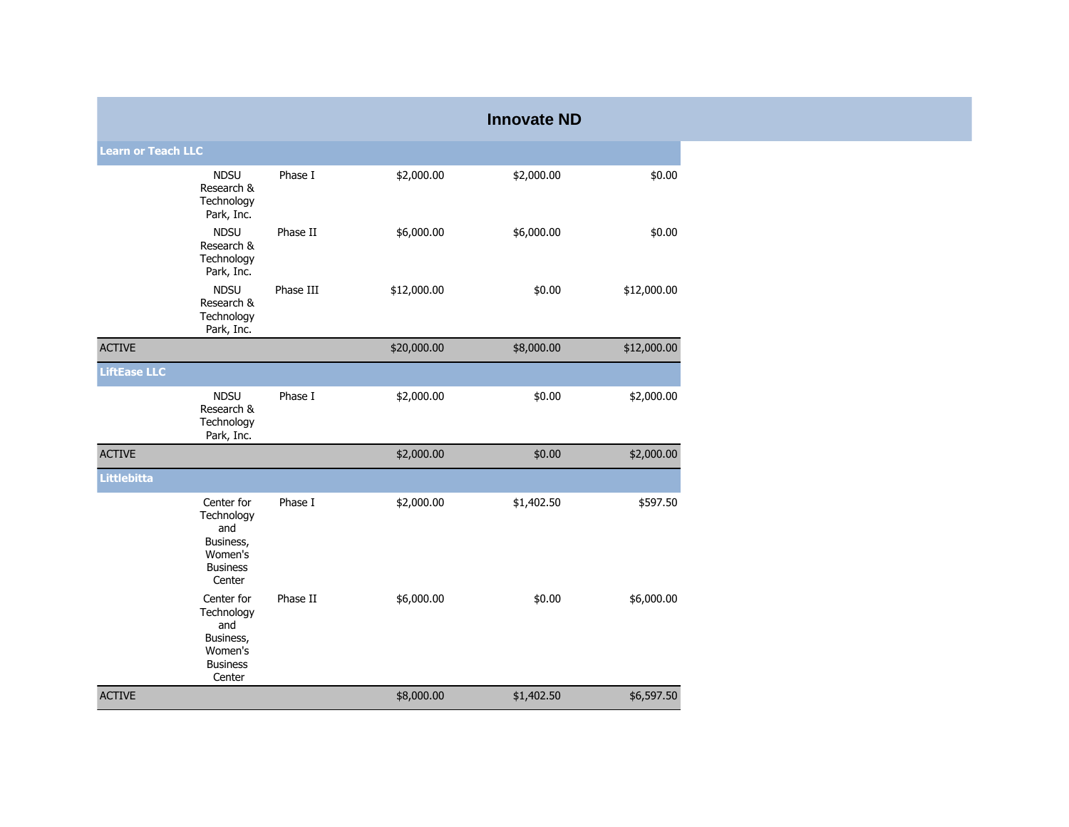|                           |                                                                                      |           |             | <b>Innovate ND</b> |             |
|---------------------------|--------------------------------------------------------------------------------------|-----------|-------------|--------------------|-------------|
| <b>Learn or Teach LLC</b> |                                                                                      |           |             |                    |             |
|                           | <b>NDSU</b><br>Research &<br>Technology<br>Park, Inc.                                | Phase I   | \$2,000.00  | \$2,000.00         | \$0.00      |
|                           | <b>NDSU</b><br>Research &<br>Technology<br>Park, Inc.                                | Phase II  | \$6,000.00  | \$6,000.00         | \$0.00      |
|                           | <b>NDSU</b><br>Research &<br>Technology<br>Park, Inc.                                | Phase III | \$12,000.00 | \$0.00             | \$12,000.00 |
| <b>ACTIVE</b>             |                                                                                      |           | \$20,000.00 | \$8,000.00         | \$12,000.00 |
| <b>LiftEase LLC</b>       |                                                                                      |           |             |                    |             |
|                           | <b>NDSU</b><br>Research &<br>Technology<br>Park, Inc.                                | Phase I   | \$2,000.00  | \$0.00             | \$2,000.00  |
| <b>ACTIVE</b>             |                                                                                      |           | \$2,000.00  | \$0.00             | \$2,000.00  |
| Littlebitta               |                                                                                      |           |             |                    |             |
|                           | Center for<br>Technology<br>and<br>Business,<br>Women's<br><b>Business</b><br>Center | Phase I   | \$2,000.00  | \$1,402.50         | \$597.50    |
|                           | Center for<br>Technology<br>and<br>Business,<br>Women's<br><b>Business</b><br>Center | Phase II  | \$6,000.00  | \$0.00             | \$6,000.00  |
| <b>ACTIVE</b>             |                                                                                      |           | \$8,000.00  | \$1,402.50         | \$6,597.50  |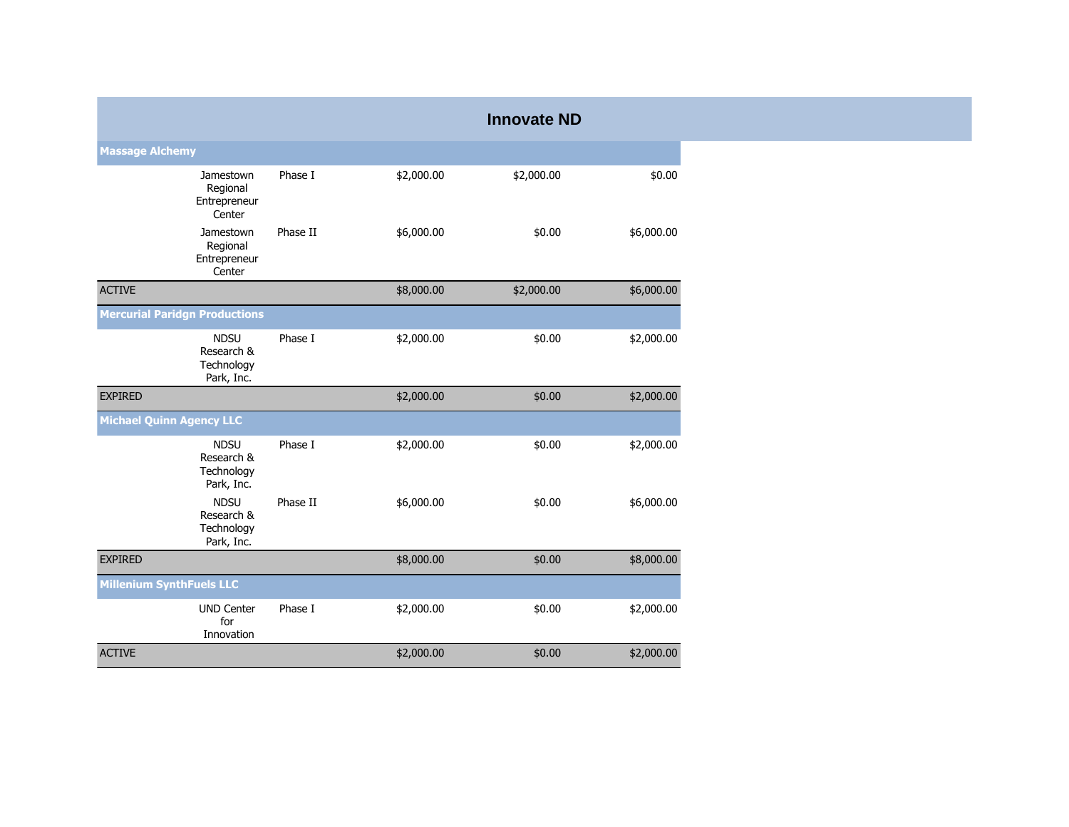|                                 |                                                       |          |            | <b>Innovate ND</b> |            |
|---------------------------------|-------------------------------------------------------|----------|------------|--------------------|------------|
| <b>Massage Alchemy</b>          |                                                       |          |            |                    |            |
|                                 | Jamestown<br>Regional<br>Entrepreneur<br>Center       | Phase I  | \$2,000.00 | \$2,000.00         | \$0.00     |
|                                 | Jamestown<br>Regional<br>Entrepreneur<br>Center       | Phase II | \$6,000.00 | \$0.00             | \$6,000.00 |
| <b>ACTIVE</b>                   |                                                       |          | \$8,000.00 | \$2,000.00         | \$6,000.00 |
|                                 | <b>Mercurial Paridgn Productions</b>                  |          |            |                    |            |
|                                 | <b>NDSU</b><br>Research &<br>Technology<br>Park, Inc. | Phase I  | \$2,000.00 | \$0.00             | \$2,000.00 |
| <b>EXPIRED</b>                  |                                                       |          | \$2,000.00 | \$0.00             | \$2,000.00 |
| <b>Michael Quinn Agency LLC</b> |                                                       |          |            |                    |            |
|                                 | <b>NDSU</b><br>Research &<br>Technology<br>Park, Inc. | Phase I  | \$2,000.00 | \$0.00             | \$2,000.00 |
|                                 | <b>NDSU</b><br>Research &<br>Technology<br>Park, Inc. | Phase II | \$6,000.00 | \$0.00             | \$6,000.00 |
| <b>EXPIRED</b>                  |                                                       |          | \$8,000.00 | \$0.00             | \$8,000.00 |
| <b>Millenium SynthFuels LLC</b> |                                                       |          |            |                    |            |
|                                 | <b>UND Center</b><br>for<br>Innovation                | Phase I  | \$2,000.00 | \$0.00             | \$2,000.00 |
| <b>ACTIVE</b>                   |                                                       |          | \$2,000.00 | \$0.00             | \$2,000.00 |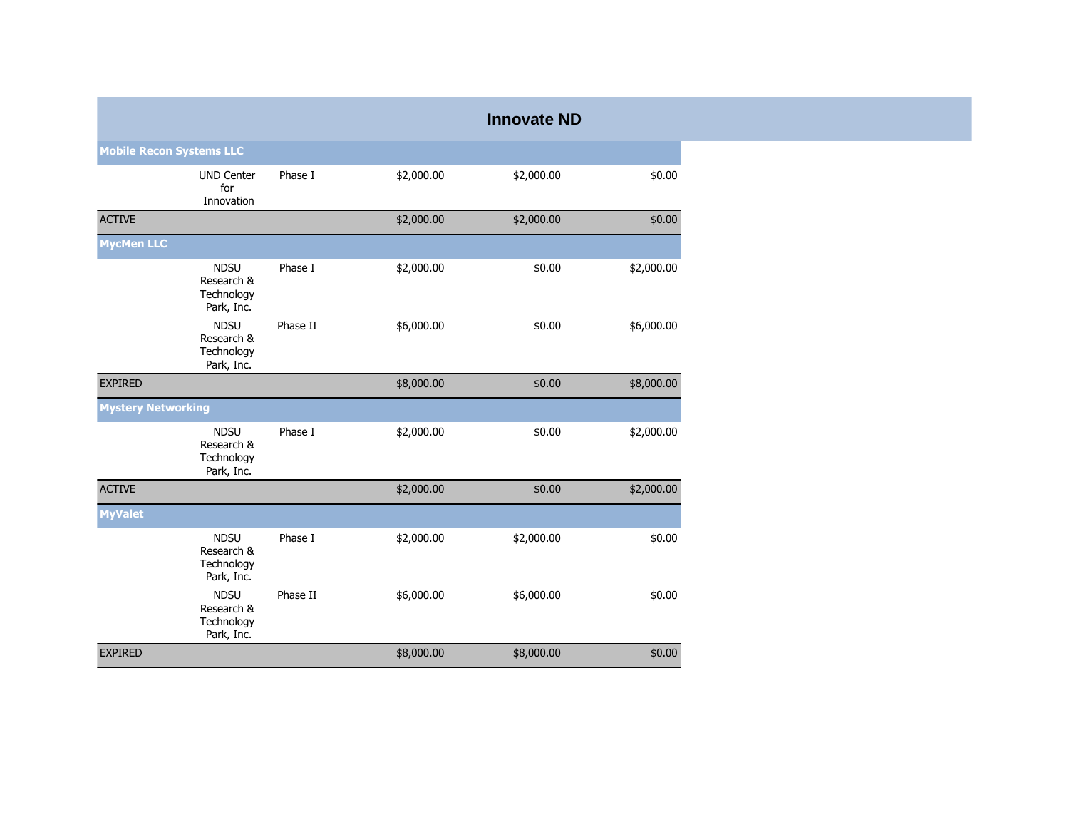|                                 |                                                       |          |            | <b>Innovate ND</b> |            |
|---------------------------------|-------------------------------------------------------|----------|------------|--------------------|------------|
| <b>Mobile Recon Systems LLC</b> |                                                       |          |            |                    |            |
|                                 | <b>UND Center</b><br>for<br>Innovation                | Phase I  | \$2,000.00 | \$2,000.00         | \$0.00     |
| <b>ACTIVE</b>                   |                                                       |          | \$2,000.00 | \$2,000.00         | \$0.00     |
| <b>MycMen LLC</b>               |                                                       |          |            |                    |            |
|                                 | <b>NDSU</b><br>Research &<br>Technology<br>Park, Inc. | Phase I  | \$2,000.00 | \$0.00             | \$2,000.00 |
|                                 | <b>NDSU</b><br>Research &<br>Technology<br>Park, Inc. | Phase II | \$6,000.00 | \$0.00             | \$6,000.00 |
| <b>EXPIRED</b>                  |                                                       |          | \$8,000.00 | \$0.00             | \$8,000.00 |
| <b>Mystery Networking</b>       |                                                       |          |            |                    |            |
|                                 | <b>NDSU</b><br>Research &<br>Technology<br>Park, Inc. | Phase I  | \$2,000.00 | \$0.00             | \$2,000.00 |
| <b>ACTIVE</b>                   |                                                       |          | \$2,000.00 | \$0.00             | \$2,000.00 |
| <b>MyValet</b>                  |                                                       |          |            |                    |            |
|                                 | <b>NDSU</b><br>Research &<br>Technology<br>Park, Inc. | Phase I  | \$2,000.00 | \$2,000.00         | \$0.00     |
|                                 | <b>NDSU</b><br>Research &<br>Technology<br>Park, Inc. | Phase II | \$6,000.00 | \$6,000.00         | \$0.00     |
| <b>EXPIRED</b>                  |                                                       |          | \$8,000.00 | \$8,000.00         | \$0.00     |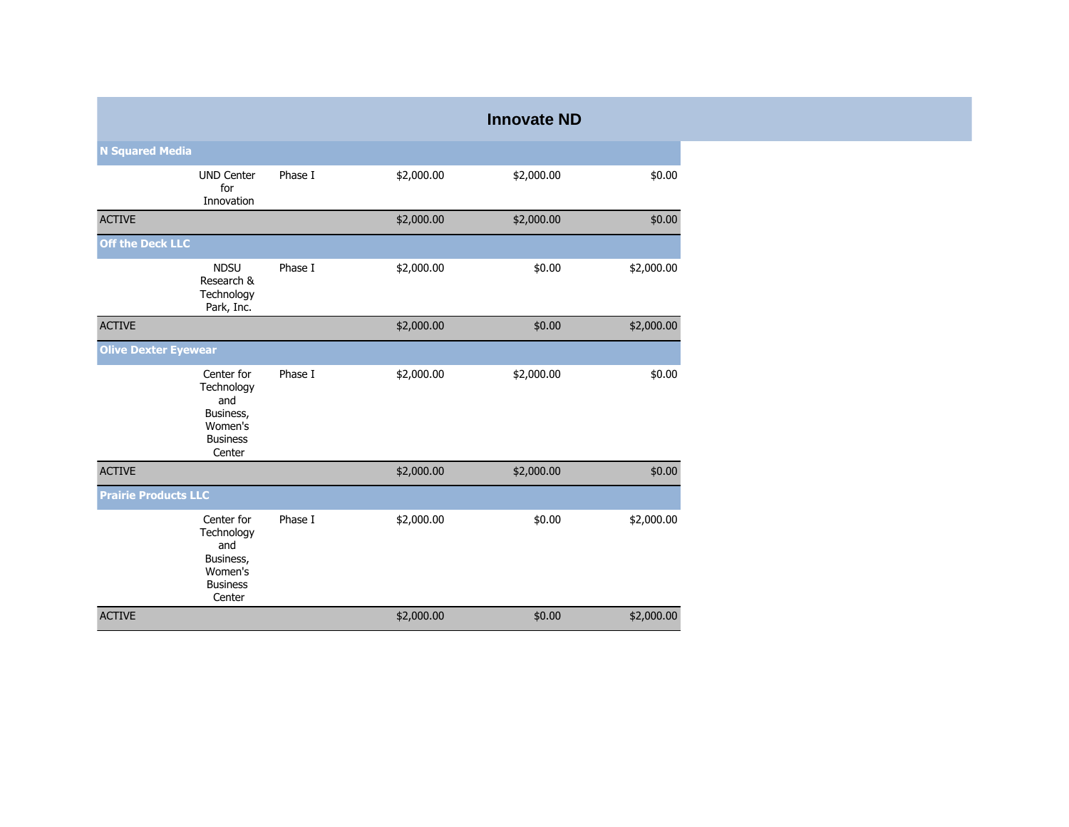|                             |                                                                                      |         |            | <b>Innovate ND</b> |            |
|-----------------------------|--------------------------------------------------------------------------------------|---------|------------|--------------------|------------|
| <b>N Squared Media</b>      |                                                                                      |         |            |                    |            |
|                             | <b>UND Center</b><br>for<br>Innovation                                               | Phase I | \$2,000.00 | \$2,000.00         | \$0.00     |
| <b>ACTIVE</b>               |                                                                                      |         | \$2,000.00 | \$2,000.00         | \$0.00     |
| <b>Off the Deck LLC</b>     |                                                                                      |         |            |                    |            |
|                             | <b>NDSU</b><br>Research &<br>Technology<br>Park, Inc.                                | Phase I | \$2,000.00 | \$0.00             | \$2,000.00 |
| <b>ACTIVE</b>               |                                                                                      |         | \$2,000.00 | \$0.00             | \$2,000.00 |
| <b>Olive Dexter Eyewear</b> |                                                                                      |         |            |                    |            |
|                             | Center for<br>Technology<br>and<br>Business,<br>Women's<br><b>Business</b><br>Center | Phase I | \$2,000.00 | \$2,000.00         | \$0.00     |
| <b>ACTIVE</b>               |                                                                                      |         | \$2,000.00 | \$2,000.00         | \$0.00     |
| <b>Prairie Products LLC</b> |                                                                                      |         |            |                    |            |
|                             | Center for<br>Technology<br>and<br>Business,<br>Women's<br><b>Business</b><br>Center | Phase I | \$2,000.00 | \$0.00             | \$2,000.00 |
| <b>ACTIVE</b>               |                                                                                      |         | \$2,000.00 | \$0.00             | \$2,000.00 |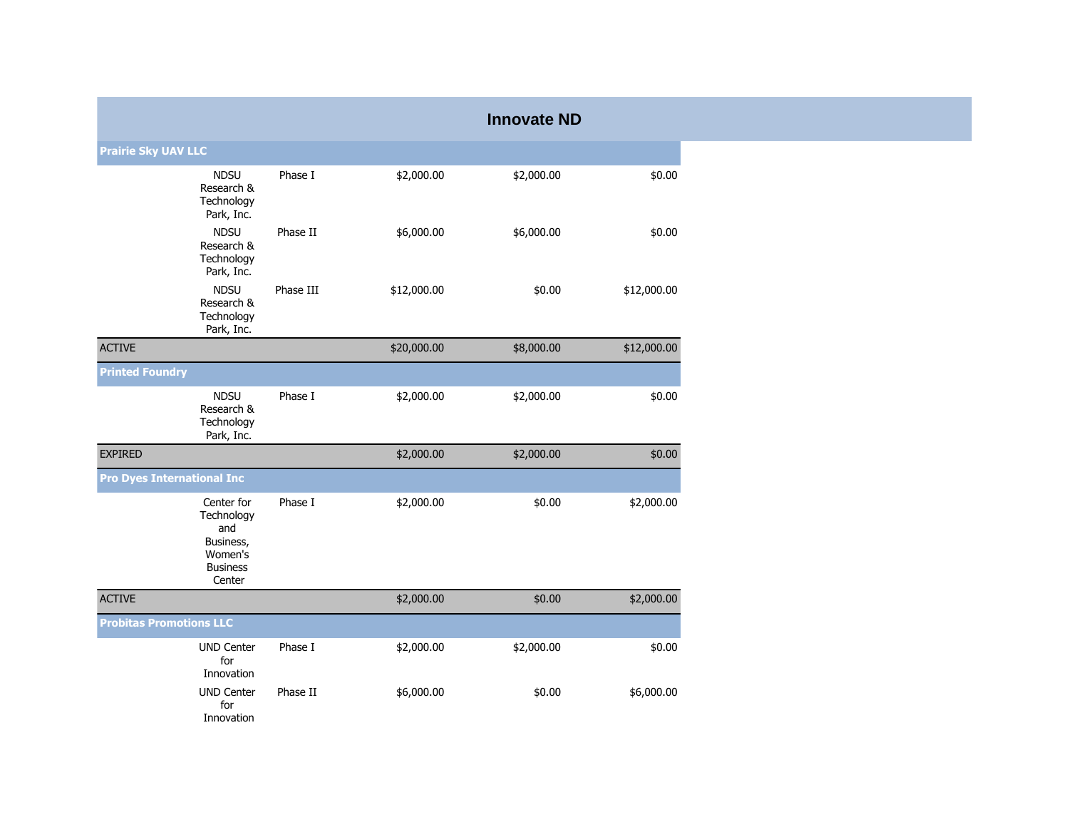|                                   |                                                                                      |           |             | <b>Innovate ND</b> |             |  |  |  |
|-----------------------------------|--------------------------------------------------------------------------------------|-----------|-------------|--------------------|-------------|--|--|--|
| <b>Prairie Sky UAV LLC</b>        |                                                                                      |           |             |                    |             |  |  |  |
|                                   | <b>NDSU</b><br>Research &<br>Technology<br>Park, Inc.                                | Phase I   | \$2,000.00  | \$2,000.00         | \$0.00      |  |  |  |
|                                   | <b>NDSU</b><br>Research &<br>Technology<br>Park, Inc.                                | Phase II  | \$6,000.00  | \$6,000.00         | \$0.00      |  |  |  |
|                                   | <b>NDSU</b><br>Research &<br>Technology<br>Park, Inc.                                | Phase III | \$12,000.00 | \$0.00             | \$12,000.00 |  |  |  |
| <b>ACTIVE</b>                     |                                                                                      |           | \$20,000.00 | \$8,000.00         | \$12,000.00 |  |  |  |
| <b>Printed Foundry</b>            |                                                                                      |           |             |                    |             |  |  |  |
|                                   | <b>NDSU</b><br>Research &<br>Technology<br>Park, Inc.                                | Phase I   | \$2,000.00  | \$2,000.00         | \$0.00      |  |  |  |
| <b>EXPIRED</b>                    |                                                                                      |           | \$2,000.00  | \$2,000.00         | \$0.00      |  |  |  |
| <b>Pro Dyes International Inc</b> |                                                                                      |           |             |                    |             |  |  |  |
|                                   | Center for<br>Technology<br>and<br>Business,<br>Women's<br><b>Business</b><br>Center | Phase I   | \$2,000.00  | \$0.00             | \$2,000.00  |  |  |  |
| <b>ACTIVE</b>                     |                                                                                      |           | \$2,000.00  | \$0.00             | \$2,000.00  |  |  |  |
| <b>Probitas Promotions LLC</b>    |                                                                                      |           |             |                    |             |  |  |  |
|                                   | <b>UND Center</b><br>for<br>Innovation                                               | Phase I   | \$2,000.00  | \$2,000.00         | \$0.00      |  |  |  |
|                                   | <b>UND Center</b><br>for<br>Innovation                                               | Phase II  | \$6,000.00  | \$0.00             | \$6,000.00  |  |  |  |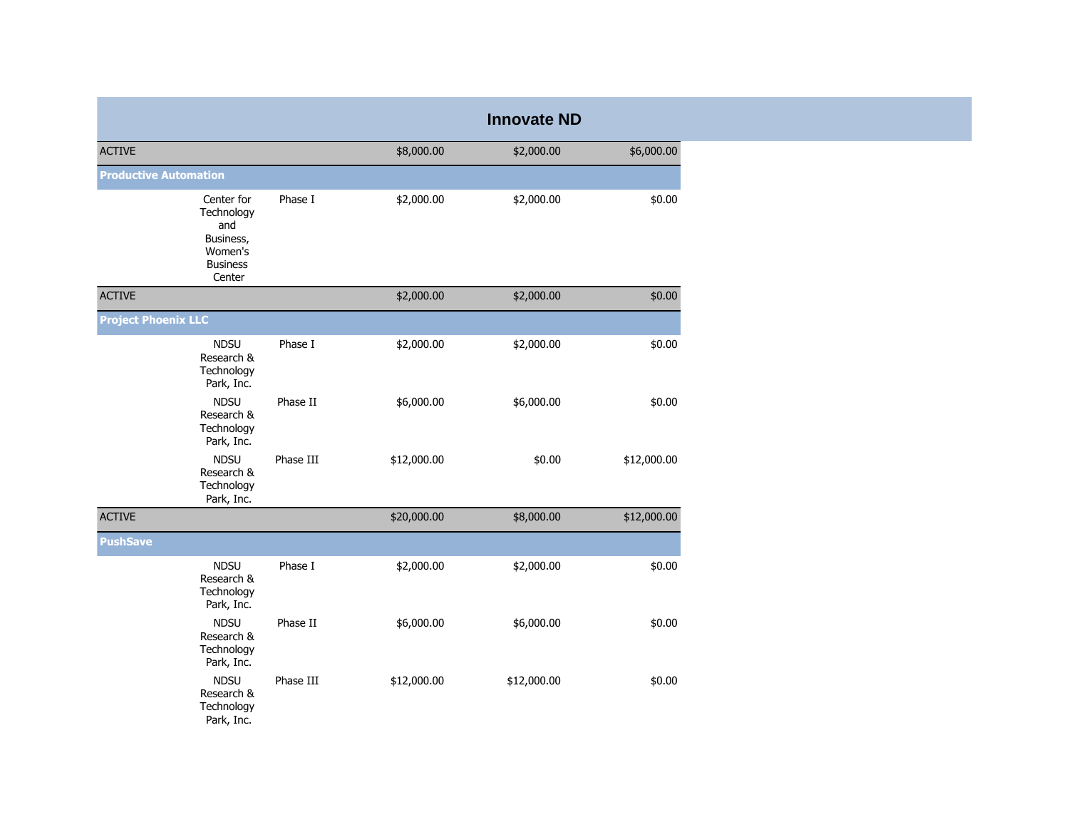|                                                                                      |           |             | <b>Innovate ND</b> |             |
|--------------------------------------------------------------------------------------|-----------|-------------|--------------------|-------------|
| <b>ACTIVE</b>                                                                        |           | \$8,000.00  | \$2,000.00         | \$6,000.00  |
| <b>Productive Automation</b>                                                         |           |             |                    |             |
| Center for<br>Technology<br>and<br>Business,<br>Women's<br><b>Business</b><br>Center | Phase I   | \$2,000.00  | \$2,000.00         | \$0.00      |
| <b>ACTIVE</b>                                                                        |           | \$2,000.00  | \$2,000.00         | \$0.00      |
| <b>Project Phoenix LLC</b>                                                           |           |             |                    |             |
| <b>NDSU</b><br>Research &<br>Technology<br>Park, Inc.                                | Phase I   | \$2,000.00  | \$2,000.00         | \$0.00      |
| <b>NDSU</b><br>Research &<br>Technology<br>Park, Inc.                                | Phase II  | \$6,000.00  | \$6,000.00         | \$0.00      |
| <b>NDSU</b><br>Research &<br>Technology<br>Park, Inc.                                | Phase III | \$12,000.00 | \$0.00             | \$12,000.00 |
| <b>ACTIVE</b>                                                                        |           | \$20,000.00 | \$8,000.00         | \$12,000.00 |
| <b>PushSave</b>                                                                      |           |             |                    |             |
| <b>NDSU</b><br>Research &<br>Technology<br>Park, Inc.                                | Phase I   | \$2,000.00  | \$2,000.00         | \$0.00      |
| <b>NDSU</b><br>Research &<br>Technology<br>Park, Inc.                                | Phase II  | \$6,000.00  | \$6,000.00         | \$0.00      |
| <b>NDSU</b><br>Research &<br>Technology<br>Park, Inc.                                | Phase III | \$12,000.00 | \$12,000.00        | \$0.00      |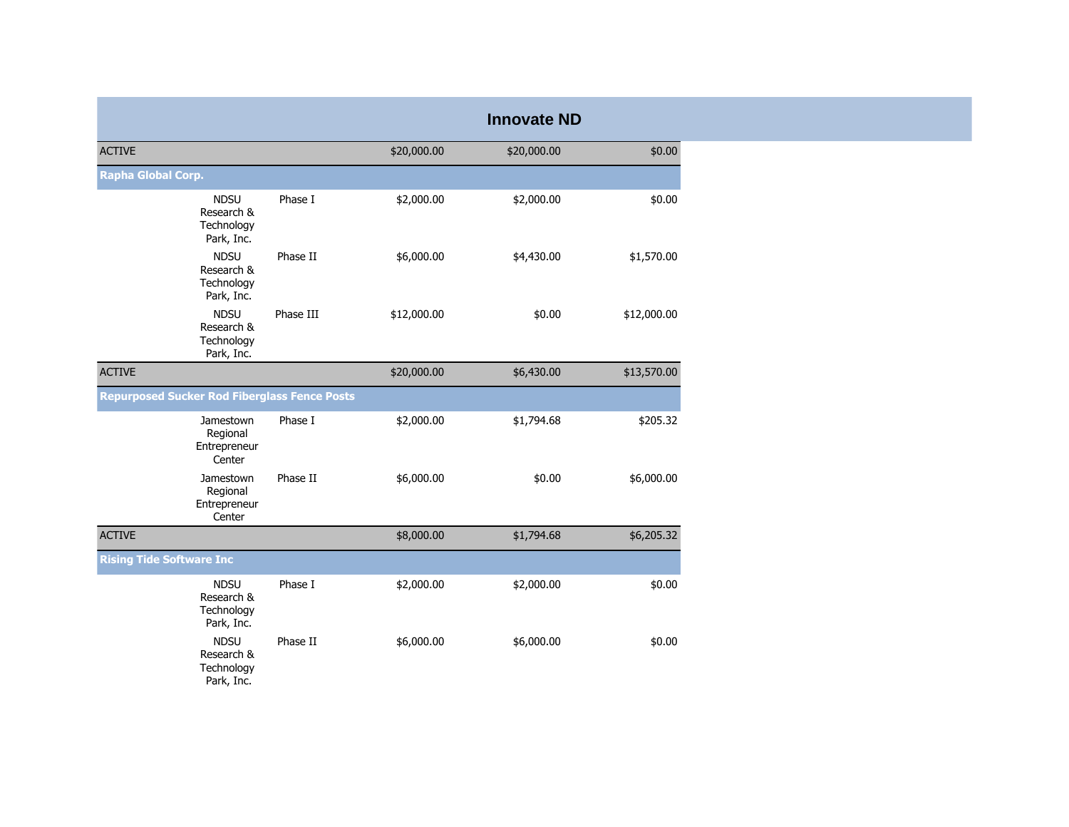|                                                       |           |             | <b>Innovate ND</b> |             |
|-------------------------------------------------------|-----------|-------------|--------------------|-------------|
| <b>ACTIVE</b>                                         |           | \$20,000.00 | \$20,000.00        | \$0.00      |
| <b>Rapha Global Corp.</b>                             |           |             |                    |             |
| <b>NDSU</b><br>Research &<br>Technology<br>Park, Inc. | Phase I   | \$2,000.00  | \$2,000.00         | \$0.00      |
| <b>NDSU</b><br>Research &<br>Technology<br>Park, Inc. | Phase II  | \$6,000.00  | \$4,430.00         | \$1,570.00  |
| <b>NDSU</b><br>Research &<br>Technology<br>Park, Inc. | Phase III | \$12,000.00 | \$0.00             | \$12,000.00 |
| <b>ACTIVE</b>                                         |           | \$20,000.00 | \$6,430.00         | \$13,570.00 |
| <b>Repurposed Sucker Rod Fiberglass Fence Posts</b>   |           |             |                    |             |
| Jamestown<br>Regional<br>Entrepreneur<br>Center       | Phase I   | \$2,000.00  | \$1,794.68         | \$205.32    |
| Jamestown<br>Regional<br>Entrepreneur<br>Center       | Phase II  | \$6,000.00  | \$0.00             | \$6,000.00  |
| <b>ACTIVE</b>                                         |           | \$8,000.00  | \$1,794.68         | \$6,205.32  |
| <b>Rising Tide Software Inc</b>                       |           |             |                    |             |
| <b>NDSU</b><br>Research &<br>Technology<br>Park, Inc. | Phase I   | \$2,000.00  | \$2,000.00         | \$0.00      |
| <b>NDSU</b><br>Research &<br>Technology<br>Park, Inc. | Phase II  | \$6,000.00  | \$6,000.00         | \$0.00      |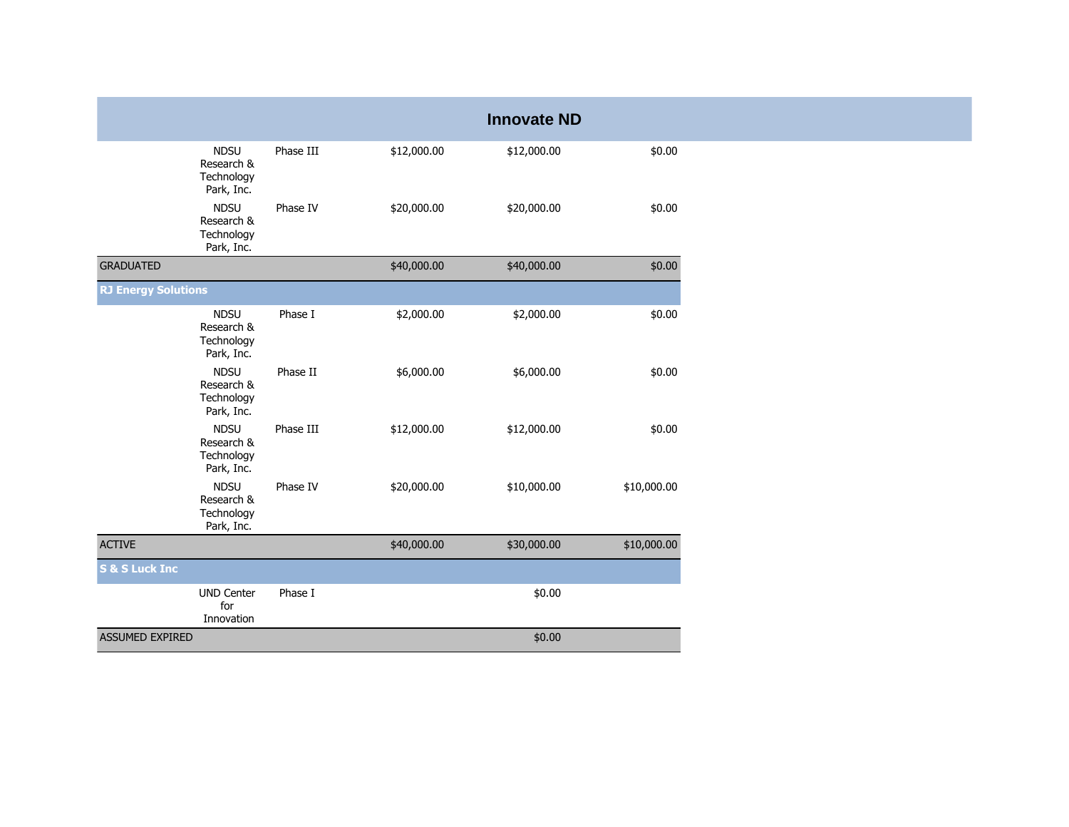|                            |                                                       |           |             | <b>Innovate ND</b> |             |
|----------------------------|-------------------------------------------------------|-----------|-------------|--------------------|-------------|
|                            | <b>NDSU</b><br>Research &<br>Technology<br>Park, Inc. | Phase III | \$12,000.00 | \$12,000.00        | \$0.00      |
|                            | <b>NDSU</b><br>Research &<br>Technology<br>Park, Inc. | Phase IV  | \$20,000.00 | \$20,000.00        | \$0.00      |
| <b>GRADUATED</b>           |                                                       |           | \$40,000.00 | \$40,000.00        | \$0.00      |
| <b>RJ Energy Solutions</b> |                                                       |           |             |                    |             |
|                            | <b>NDSU</b><br>Research &<br>Technology<br>Park, Inc. | Phase I   | \$2,000.00  | \$2,000.00         | \$0.00      |
|                            | <b>NDSU</b><br>Research &<br>Technology<br>Park, Inc. | Phase II  | \$6,000.00  | \$6,000.00         | \$0.00      |
|                            | <b>NDSU</b><br>Research &<br>Technology<br>Park, Inc. | Phase III | \$12,000.00 | \$12,000.00        | \$0.00      |
|                            | <b>NDSU</b><br>Research &<br>Technology<br>Park, Inc. | Phase IV  | \$20,000.00 | \$10,000.00        | \$10,000.00 |
| <b>ACTIVE</b>              |                                                       |           | \$40,000.00 | \$30,000.00        | \$10,000.00 |
| <b>S &amp; S Luck Inc</b>  |                                                       |           |             |                    |             |
|                            | <b>UND Center</b><br>for<br>Innovation                | Phase I   |             | \$0.00             |             |
| <b>ASSUMED EXPIRED</b>     |                                                       |           |             | \$0.00             |             |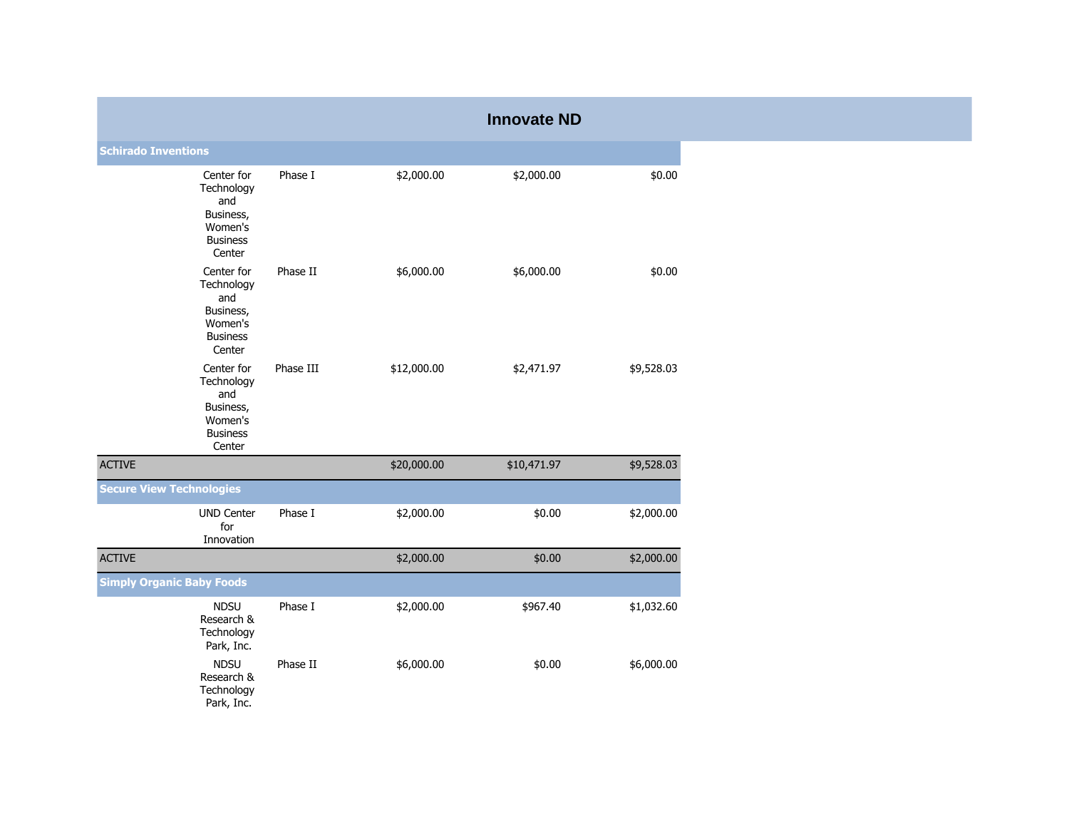|                                  |                                                                                      |           |             | <b>Innovate ND</b> |            |
|----------------------------------|--------------------------------------------------------------------------------------|-----------|-------------|--------------------|------------|
| <b>Schirado Inventions</b>       |                                                                                      |           |             |                    |            |
|                                  | Center for<br>Technology<br>and<br>Business,<br>Women's<br><b>Business</b><br>Center | Phase I   | \$2,000.00  | \$2,000.00         | \$0.00     |
|                                  | Center for<br>Technology<br>and<br>Business,<br>Women's<br><b>Business</b><br>Center | Phase II  | \$6,000.00  | \$6,000.00         | \$0.00     |
|                                  | Center for<br>Technology<br>and<br>Business,<br>Women's<br><b>Business</b><br>Center | Phase III | \$12,000.00 | \$2,471.97         | \$9,528.03 |
| <b>ACTIVE</b>                    |                                                                                      |           | \$20,000.00 | \$10,471.97        | \$9,528.03 |
| <b>Secure View Technologies</b>  |                                                                                      |           |             |                    |            |
|                                  | <b>UND Center</b><br>for<br>Innovation                                               | Phase I   | \$2,000.00  | \$0.00             | \$2,000.00 |
| <b>ACTIVE</b>                    |                                                                                      |           | \$2,000.00  | \$0.00             | \$2,000.00 |
| <b>Simply Organic Baby Foods</b> |                                                                                      |           |             |                    |            |
|                                  | <b>NDSU</b><br>Research &<br>Technology<br>Park, Inc.                                | Phase I   | \$2,000.00  | \$967.40           | \$1,032.60 |
|                                  | <b>NDSU</b><br>Research &<br>Technology<br>Park, Inc.                                | Phase II  | \$6,000.00  | \$0.00             | \$6,000.00 |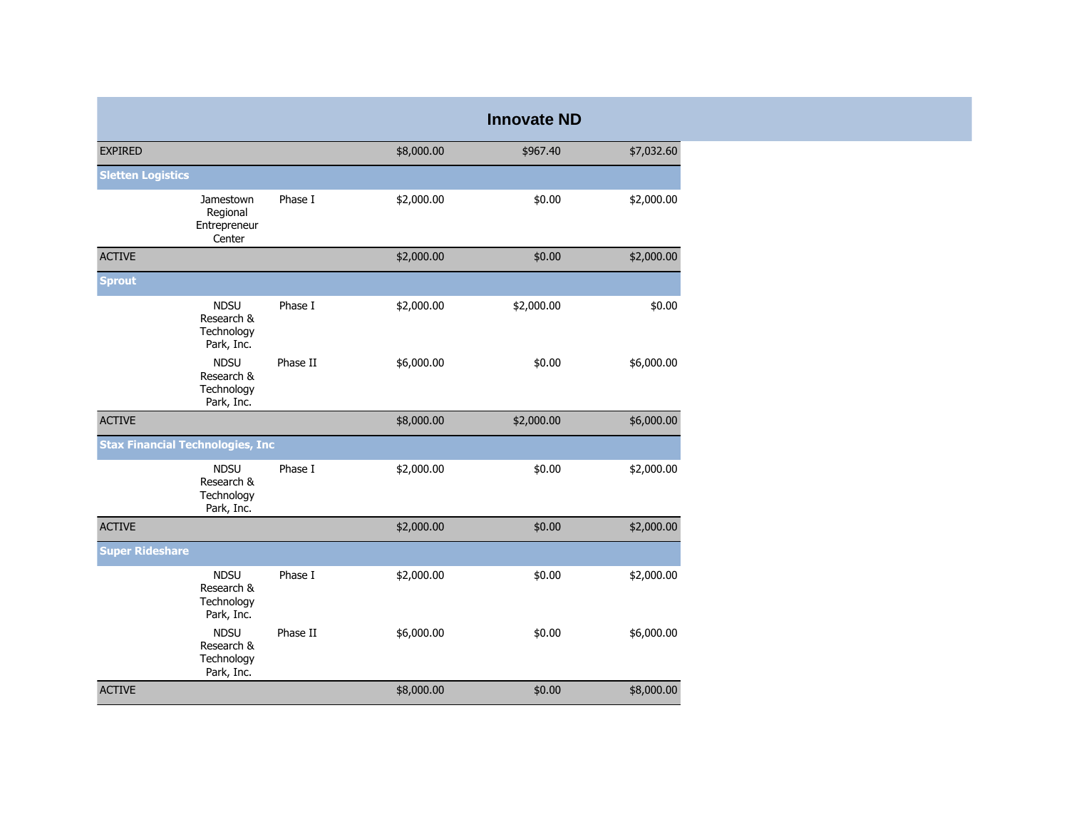|                                         |                                                       |          |            | <b>Innovate ND</b> |            |
|-----------------------------------------|-------------------------------------------------------|----------|------------|--------------------|------------|
| <b>EXPIRED</b>                          |                                                       |          | \$8,000.00 | \$967.40           | \$7,032.60 |
| <b>Sletten Logistics</b>                |                                                       |          |            |                    |            |
|                                         | Jamestown<br>Regional<br>Entrepreneur<br>Center       | Phase I  | \$2,000.00 | \$0.00             | \$2,000.00 |
| <b>ACTIVE</b>                           |                                                       |          | \$2,000.00 | \$0.00             | \$2,000.00 |
| <b>Sprout</b>                           |                                                       |          |            |                    |            |
|                                         | <b>NDSU</b><br>Research &<br>Technology<br>Park, Inc. | Phase I  | \$2,000.00 | \$2,000.00         | \$0.00     |
|                                         | <b>NDSU</b><br>Research &<br>Technology<br>Park, Inc. | Phase II | \$6,000.00 | \$0.00             | \$6,000.00 |
| <b>ACTIVE</b>                           |                                                       |          | \$8,000.00 | \$2,000.00         | \$6,000.00 |
| <b>Stax Financial Technologies, Inc</b> |                                                       |          |            |                    |            |
|                                         | <b>NDSU</b><br>Research &<br>Technology<br>Park, Inc. | Phase I  | \$2,000.00 | \$0.00             | \$2,000.00 |
| <b>ACTIVE</b>                           |                                                       |          | \$2,000.00 | \$0.00             | \$2,000.00 |
| <b>Super Rideshare</b>                  |                                                       |          |            |                    |            |
|                                         | <b>NDSU</b><br>Research &<br>Technology<br>Park, Inc. | Phase I  | \$2,000.00 | \$0.00             | \$2,000.00 |
|                                         | <b>NDSU</b><br>Research &<br>Technology<br>Park, Inc. | Phase II | \$6,000.00 | \$0.00             | \$6,000.00 |
| <b>ACTIVE</b>                           |                                                       |          | \$8,000.00 | \$0.00             | \$8,000.00 |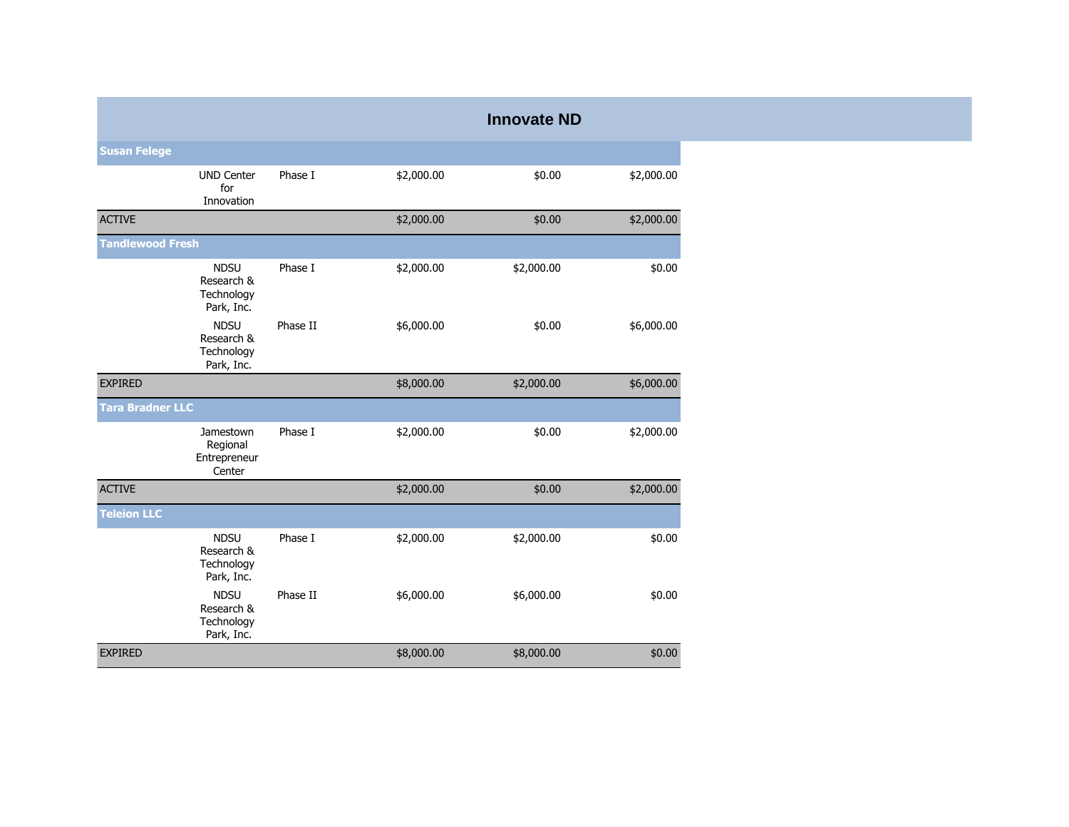|                         |                                                       |          |            | <b>Innovate ND</b> |            |
|-------------------------|-------------------------------------------------------|----------|------------|--------------------|------------|
| <b>Susan Felege</b>     |                                                       |          |            |                    |            |
|                         | <b>UND Center</b><br>for<br>Innovation                | Phase I  | \$2,000.00 | \$0.00             | \$2,000.00 |
| <b>ACTIVE</b>           |                                                       |          | \$2,000.00 | \$0.00             | \$2,000.00 |
| <b>Tandlewood Fresh</b> |                                                       |          |            |                    |            |
|                         | <b>NDSU</b><br>Research &<br>Technology<br>Park, Inc. | Phase I  | \$2,000.00 | \$2,000.00         | \$0.00     |
|                         | <b>NDSU</b><br>Research &<br>Technology<br>Park, Inc. | Phase II | \$6,000.00 | \$0.00             | \$6,000.00 |
| <b>EXPIRED</b>          |                                                       |          | \$8,000.00 | \$2,000.00         | \$6,000.00 |
| <b>Tara Bradner LLC</b> |                                                       |          |            |                    |            |
|                         | Jamestown<br>Regional<br>Entrepreneur<br>Center       | Phase I  | \$2,000.00 | \$0.00             | \$2,000.00 |
| <b>ACTIVE</b>           |                                                       |          | \$2,000.00 | \$0.00             | \$2,000.00 |
| <b>Teleion LLC</b>      |                                                       |          |            |                    |            |
|                         | <b>NDSU</b><br>Research &<br>Technology<br>Park, Inc. | Phase I  | \$2,000.00 | \$2,000.00         | \$0.00     |
|                         | <b>NDSU</b><br>Research &<br>Technology<br>Park, Inc. | Phase II | \$6,000.00 | \$6,000.00         | \$0.00     |
| <b>EXPIRED</b>          |                                                       |          | \$8,000.00 | \$8,000.00         | \$0.00     |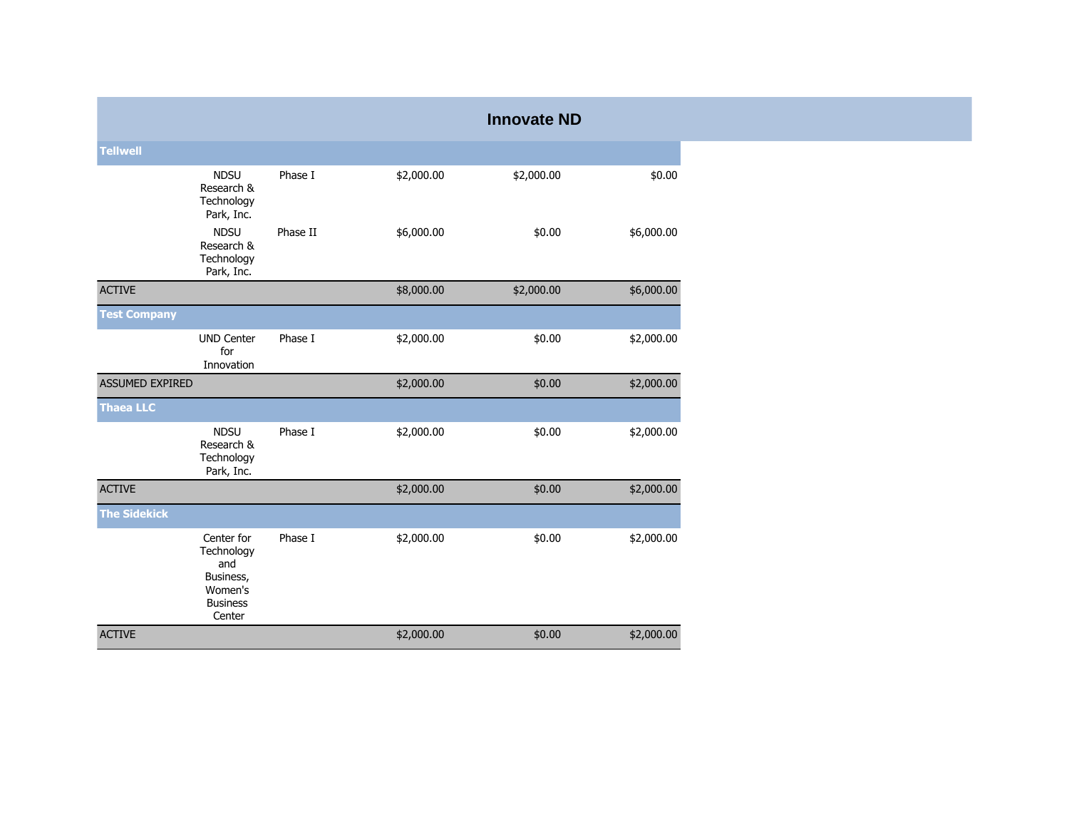|                        |                                                                                      |          |            | <b>Innovate ND</b> |            |
|------------------------|--------------------------------------------------------------------------------------|----------|------------|--------------------|------------|
| <b>Tellwell</b>        |                                                                                      |          |            |                    |            |
|                        | <b>NDSU</b><br>Research &<br>Technology<br>Park, Inc.                                | Phase I  | \$2,000.00 | \$2,000.00         | \$0.00     |
|                        | <b>NDSU</b><br>Research &<br>Technology<br>Park, Inc.                                | Phase II | \$6,000.00 | \$0.00             | \$6,000.00 |
| <b>ACTIVE</b>          |                                                                                      |          | \$8,000.00 | \$2,000.00         | \$6,000.00 |
| <b>Test Company</b>    |                                                                                      |          |            |                    |            |
|                        | <b>UND Center</b><br>for<br>Innovation                                               | Phase I  | \$2,000.00 | \$0.00             | \$2,000.00 |
| <b>ASSUMED EXPIRED</b> |                                                                                      |          | \$2,000.00 | \$0.00             | \$2,000.00 |
| <b>Thaea LLC</b>       |                                                                                      |          |            |                    |            |
|                        | <b>NDSU</b><br>Research &<br>Technology<br>Park, Inc.                                | Phase I  | \$2,000.00 | \$0.00             | \$2,000.00 |
| <b>ACTIVE</b>          |                                                                                      |          | \$2,000.00 | \$0.00             | \$2,000.00 |
| <b>The Sidekick</b>    |                                                                                      |          |            |                    |            |
|                        | Center for<br>Technology<br>and<br>Business,<br>Women's<br><b>Business</b><br>Center | Phase I  | \$2,000.00 | \$0.00             | \$2,000.00 |
| <b>ACTIVE</b>          |                                                                                      |          | \$2,000.00 | \$0.00             | \$2,000.00 |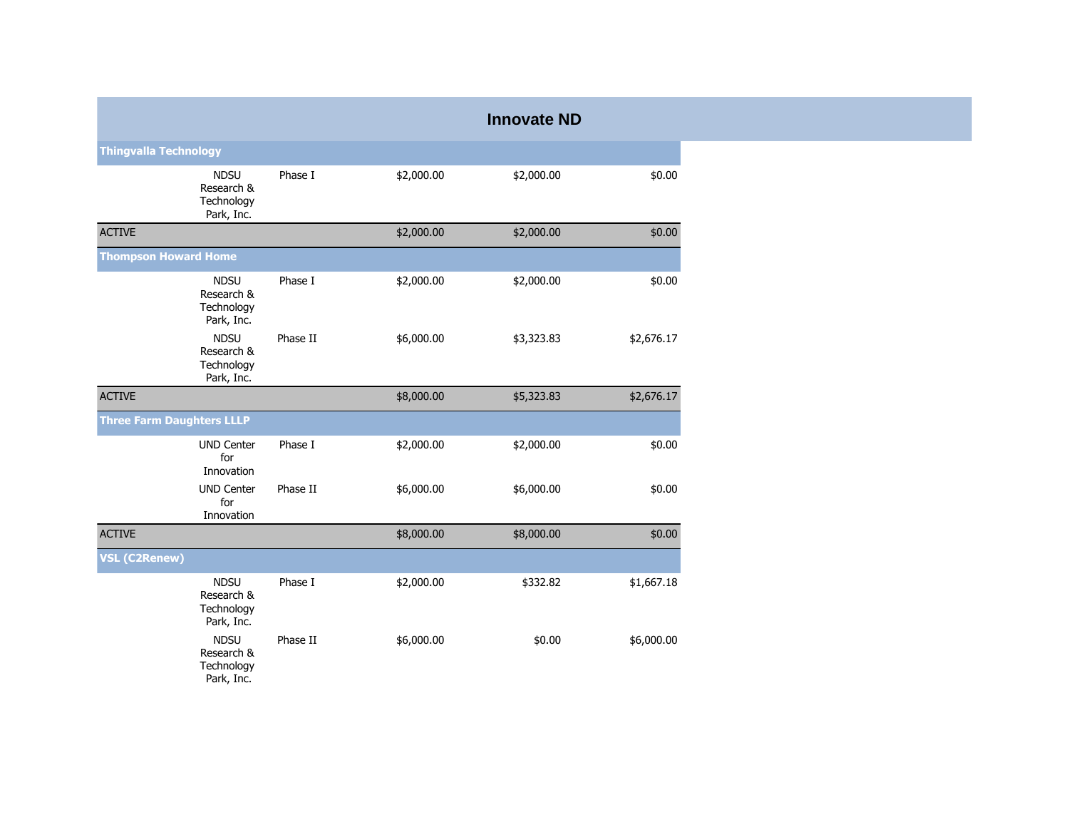|                                  |                                                       |          |            | <b>Innovate ND</b> |            |
|----------------------------------|-------------------------------------------------------|----------|------------|--------------------|------------|
| <b>Thingvalla Technology</b>     |                                                       |          |            |                    |            |
|                                  | <b>NDSU</b><br>Research &<br>Technology<br>Park, Inc. | Phase I  | \$2,000.00 | \$2,000.00         | \$0.00     |
| <b>ACTIVE</b>                    |                                                       |          | \$2,000.00 | \$2,000.00         | \$0.00     |
| <b>Thompson Howard Home</b>      |                                                       |          |            |                    |            |
|                                  | <b>NDSU</b><br>Research &<br>Technology<br>Park, Inc. | Phase I  | \$2,000.00 | \$2,000.00         | \$0.00     |
|                                  | <b>NDSU</b><br>Research &<br>Technology<br>Park, Inc. | Phase II | \$6,000.00 | \$3,323.83         | \$2,676.17 |
| <b>ACTIVE</b>                    |                                                       |          | \$8,000.00 | \$5,323.83         | \$2,676.17 |
| <b>Three Farm Daughters LLLP</b> |                                                       |          |            |                    |            |
|                                  | <b>UND Center</b><br>for<br>Innovation                | Phase I  | \$2,000.00 | \$2,000.00         | \$0.00     |
|                                  | <b>UND Center</b><br>for<br>Innovation                | Phase II | \$6,000.00 | \$6,000.00         | \$0.00     |
| <b>ACTIVE</b>                    |                                                       |          | \$8,000.00 | \$8,000.00         | \$0.00     |
| <b>VSL (C2Renew)</b>             |                                                       |          |            |                    |            |
|                                  | <b>NDSU</b><br>Research &<br>Technology<br>Park, Inc. | Phase I  | \$2,000.00 | \$332.82           | \$1,667.18 |
|                                  | <b>NDSU</b><br>Research &<br>Technology<br>Park, Inc. | Phase II | \$6,000.00 | \$0.00             | \$6,000.00 |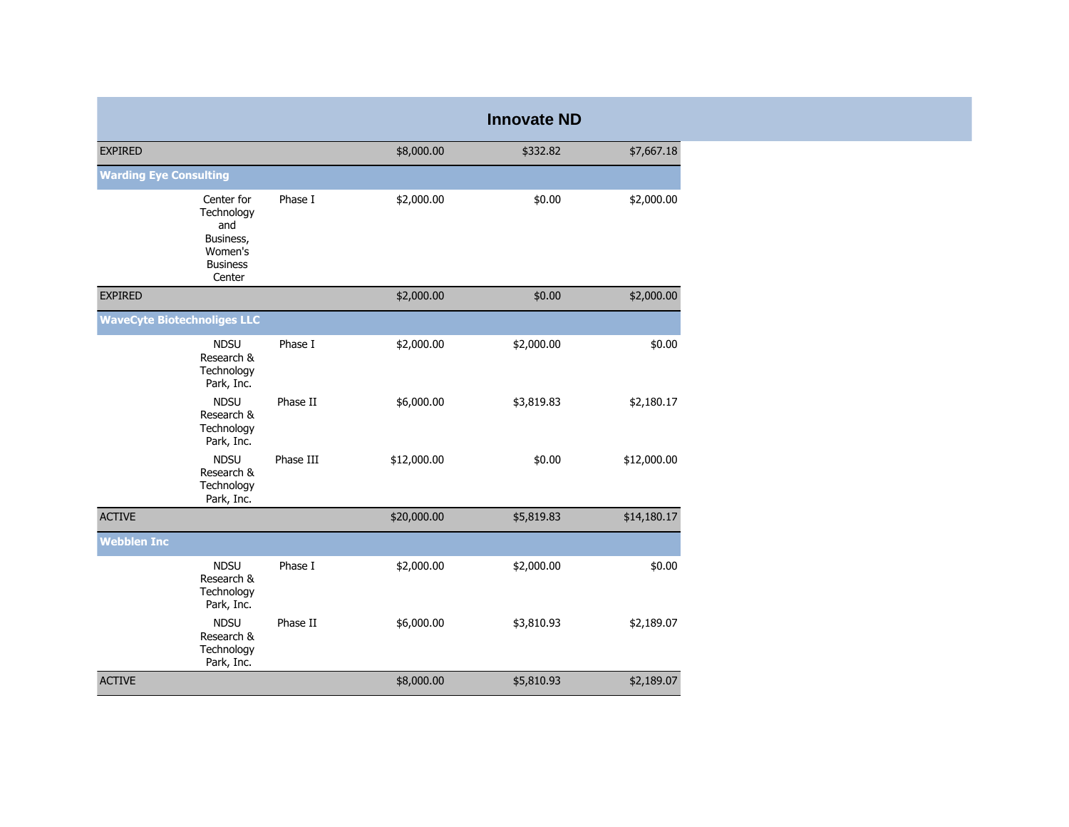|                                    |                                                                                      |           |             | <b>Innovate ND</b> |             |
|------------------------------------|--------------------------------------------------------------------------------------|-----------|-------------|--------------------|-------------|
| <b>EXPIRED</b>                     |                                                                                      |           | \$8,000.00  | \$332.82           | \$7,667.18  |
| <b>Warding Eye Consulting</b>      |                                                                                      |           |             |                    |             |
|                                    | Center for<br>Technology<br>and<br>Business,<br>Women's<br><b>Business</b><br>Center | Phase I   | \$2,000.00  | \$0.00             | \$2,000.00  |
| <b>EXPIRED</b>                     |                                                                                      |           | \$2,000.00  | \$0.00             | \$2,000.00  |
| <b>WaveCyte Biotechnoliges LLC</b> |                                                                                      |           |             |                    |             |
|                                    | <b>NDSU</b><br>Research &<br>Technology<br>Park, Inc.                                | Phase I   | \$2,000.00  | \$2,000.00         | \$0.00      |
|                                    | <b>NDSU</b><br>Research &<br>Technology<br>Park, Inc.                                | Phase II  | \$6,000.00  | \$3,819.83         | \$2,180.17  |
|                                    | <b>NDSU</b><br>Research &<br>Technology<br>Park, Inc.                                | Phase III | \$12,000.00 | \$0.00             | \$12,000.00 |
| <b>ACTIVE</b>                      |                                                                                      |           | \$20,000.00 | \$5,819.83         | \$14,180.17 |
| <b>Webblen Inc</b>                 |                                                                                      |           |             |                    |             |
|                                    | <b>NDSU</b><br>Research &<br>Technology<br>Park, Inc.                                | Phase I   | \$2,000.00  | \$2,000.00         | \$0.00      |
|                                    | <b>NDSU</b><br>Research &<br>Technology<br>Park, Inc.                                | Phase II  | \$6,000.00  | \$3,810.93         | \$2,189.07  |
| <b>ACTIVE</b>                      |                                                                                      |           | \$8,000.00  | \$5,810.93         | \$2,189.07  |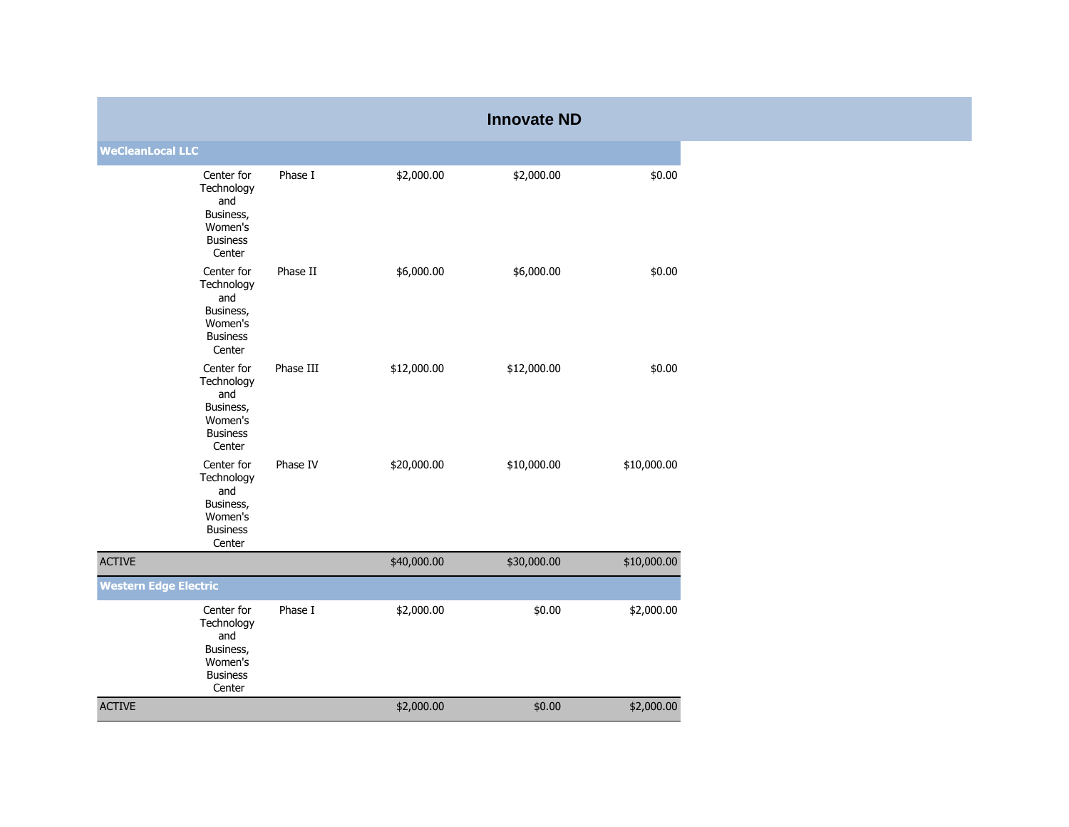|                              |                                                                                      |           |             | <b>Innovate ND</b> |             |
|------------------------------|--------------------------------------------------------------------------------------|-----------|-------------|--------------------|-------------|
| <b>WeCleanLocal LLC</b>      |                                                                                      |           |             |                    |             |
|                              | Center for<br>Technology<br>and<br>Business,<br>Women's<br><b>Business</b><br>Center | Phase I   | \$2,000.00  | \$2,000.00         | \$0.00      |
|                              | Center for<br>Technology<br>and<br>Business,<br>Women's<br><b>Business</b><br>Center | Phase II  | \$6,000.00  | \$6,000.00         | \$0.00      |
|                              | Center for<br>Technology<br>and<br>Business,<br>Women's<br><b>Business</b><br>Center | Phase III | \$12,000.00 | \$12,000.00        | \$0.00      |
|                              | Center for<br>Technology<br>and<br>Business,<br>Women's<br><b>Business</b><br>Center | Phase IV  | \$20,000.00 | \$10,000.00        | \$10,000.00 |
| <b>ACTIVE</b>                |                                                                                      |           | \$40,000.00 | \$30,000.00        | \$10,000.00 |
| <b>Western Edge Electric</b> |                                                                                      |           |             |                    |             |
|                              | Center for<br>Technology<br>and<br>Business,<br>Women's<br><b>Business</b><br>Center | Phase I   | \$2,000.00  | \$0.00             | \$2,000.00  |
| <b>ACTIVE</b>                |                                                                                      |           | \$2,000.00  | \$0.00             | \$2,000.00  |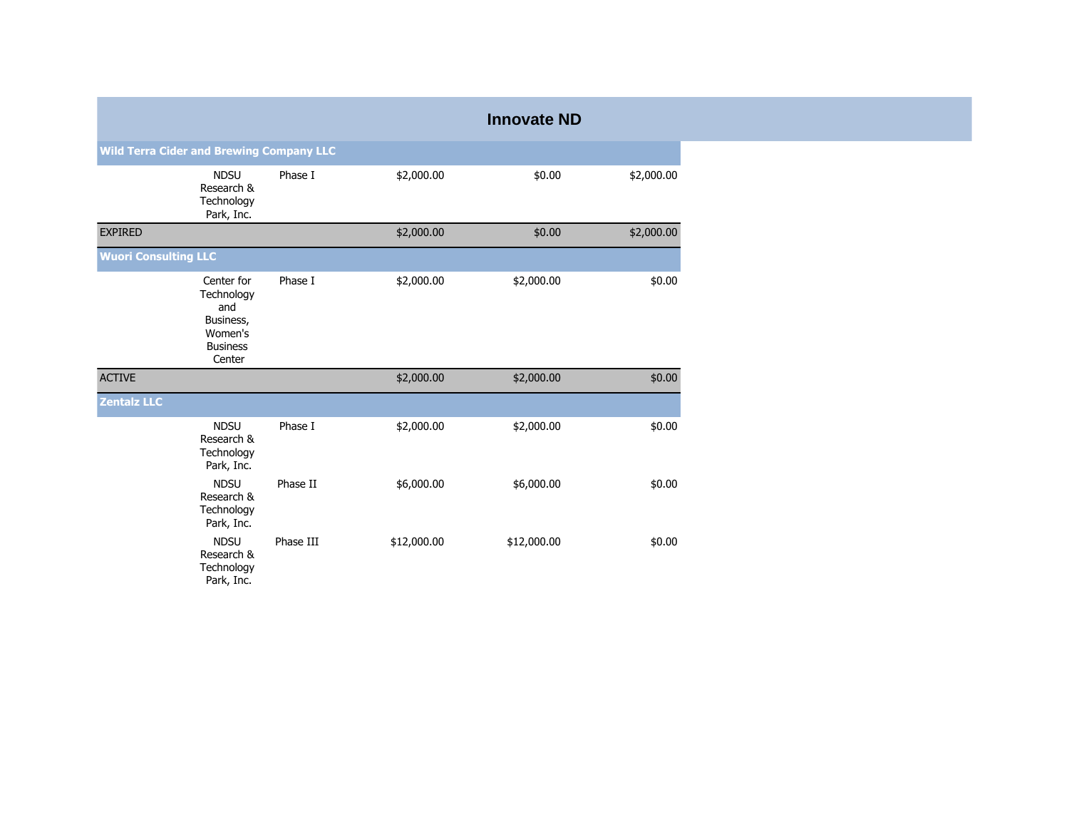|                             |                                                                                      |           |             | <b>Innovate ND</b> |            |  |  |  |  |
|-----------------------------|--------------------------------------------------------------------------------------|-----------|-------------|--------------------|------------|--|--|--|--|
|                             | <b>Wild Terra Cider and Brewing Company LLC</b>                                      |           |             |                    |            |  |  |  |  |
|                             | <b>NDSU</b><br>Research &<br>Technology<br>Park, Inc.                                | Phase I   | \$2,000.00  | \$0.00             | \$2,000.00 |  |  |  |  |
| <b>EXPIRED</b>              |                                                                                      |           | \$2,000.00  | \$0.00             | \$2,000.00 |  |  |  |  |
| <b>Wuori Consulting LLC</b> |                                                                                      |           |             |                    |            |  |  |  |  |
|                             | Center for<br>Technology<br>and<br>Business,<br>Women's<br><b>Business</b><br>Center | Phase I   | \$2,000.00  | \$2,000.00         | \$0.00     |  |  |  |  |
| <b>ACTIVE</b>               |                                                                                      |           | \$2,000.00  | \$2,000.00         | \$0.00     |  |  |  |  |
| <b>Zentalz LLC</b>          |                                                                                      |           |             |                    |            |  |  |  |  |
|                             | <b>NDSU</b><br>Research &<br>Technology<br>Park, Inc.                                | Phase I   | \$2,000.00  | \$2,000.00         | \$0.00     |  |  |  |  |
|                             | <b>NDSU</b><br>Research &<br>Technology<br>Park, Inc.                                | Phase II  | \$6,000.00  | \$6,000.00         | \$0.00     |  |  |  |  |
|                             | <b>NDSU</b><br>Research &<br>Technology<br>Park, Inc.                                | Phase III | \$12,000.00 | \$12,000.00        | \$0.00     |  |  |  |  |